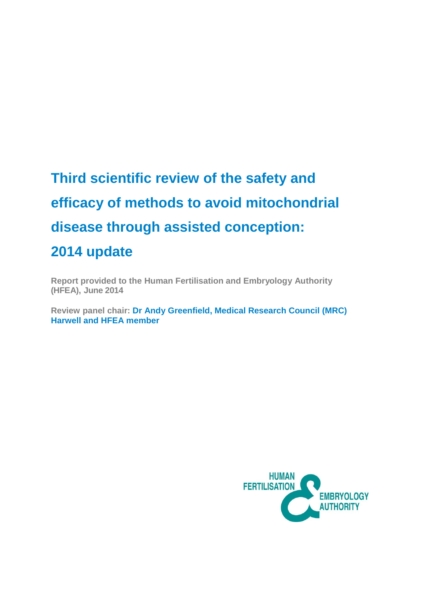# **Third scientific review of the safety and efficacy of methods to avoid mitochondrial disease through assisted conception: 2014 update**

**Report provided to the Human Fertilisation and Embryology Authority (HFEA), June 2014** 

**Review panel chair: Dr Andy Greenfield, [Medical Research Council \(MRC\)](http://www.mrc.ac.uk/) Harwell and HFEA member**

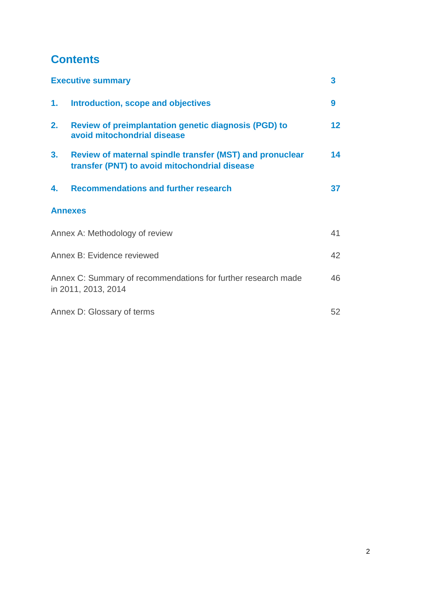# **Contents**

|                            | <b>Executive summary</b>                                                                                         | 3               |
|----------------------------|------------------------------------------------------------------------------------------------------------------|-----------------|
| 1.                         | Introduction, scope and objectives                                                                               | 9               |
| 2.                         | <b>Review of preimplantation genetic diagnosis (PGD) to</b><br>avoid mitochondrial disease                       | 12 <sub>2</sub> |
| 3.                         | <b>Review of maternal spindle transfer (MST) and pronuclear</b><br>transfer (PNT) to avoid mitochondrial disease | 14              |
| 4.                         | <b>Recommendations and further research</b>                                                                      | 37 <sub>2</sub> |
|                            | <b>Annexes</b>                                                                                                   |                 |
|                            | Annex A: Methodology of review                                                                                   | 41              |
| Annex B: Evidence reviewed |                                                                                                                  | 42              |
|                            | Annex C: Summary of recommendations for further research made<br>in 2011, 2013, 2014                             | 46              |
| Annex D: Glossary of terms |                                                                                                                  | 52              |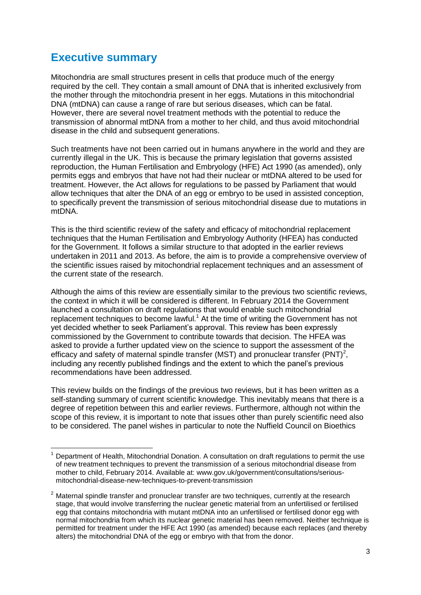### **Executive summary**

**.** 

Mitochondria are small structures present in cells that produce much of the energy required by the cell. They contain a small amount of DNA that is inherited exclusively from the mother through the mitochondria present in her eggs. Mutations in this mitochondrial DNA (mtDNA) can cause a range of rare but serious diseases, which can be fatal. However, there are several novel treatment methods with the potential to reduce the transmission of abnormal mtDNA from a mother to her child, and thus avoid mitochondrial disease in the child and subsequent generations.

Such treatments have not been carried out in humans anywhere in the world and they are currently illegal in the UK. This is because the primary legislation that governs assisted reproduction, the Human Fertilisation and Embryology (HFE) Act 1990 (as amended), only permits eggs and embryos that have not had their nuclear or mtDNA altered to be used for treatment. However, the Act allows for regulations to be passed by Parliament that would allow techniques that alter the DNA of an egg or embryo to be used in assisted conception, to specifically prevent the transmission of serious mitochondrial disease due to mutations in mtDNA.

This is the third scientific review of the safety and efficacy of mitochondrial replacement techniques that the Human Fertilisation and Embryology Authority (HFEA) has conducted for the Government. It follows a similar structure to that adopted in the earlier reviews undertaken in 2011 and 2013. As before, the aim is to provide a comprehensive overview of the scientific issues raised by mitochondrial replacement techniques and an assessment of the current state of the research.

Although the aims of this review are essentially similar to the previous two scientific reviews, the context in which it will be considered is different. In February 2014 the Government launched a consultation on draft regulations that would enable such mitochondrial replacement techniques to become lawful.<sup>1</sup> At the time of writing the Government has not yet decided whether to seek Parliament's approval. This review has been expressly commissioned by the Government to contribute towards that decision. The HFEA was asked to provide a further updated view on the science to support the assessment of the efficacy and safety of maternal spindle transfer (MST) and pronuclear transfer (PNT)<sup>2</sup>, including any recently published findings and the extent to which the panel's previous recommendations have been addressed.

This review builds on the findings of the previous two reviews, but it has been written as a self-standing summary of current scientific knowledge. This inevitably means that there is a degree of repetition between this and earlier reviews. Furthermore, although not within the scope of this review, it is important to note that issues other than purely scientific need also to be considered. The panel wishes in particular to note the Nuffield Council on Bioethics

<sup>1</sup> Department of Health, Mitochondrial Donation. A consultation on draft regulations to permit the use of new treatment techniques to prevent the transmission of a serious mitochondrial disease from mother to child, February 2014. Available at: [www.gov.uk/government/consultations/serious](http://www.gov.uk/government/consultations/serious-mitochondrial-disease-new-techniques-to-prevent-transmission)[mitochondrial-disease-new-techniques-to-prevent-transmission](http://www.gov.uk/government/consultations/serious-mitochondrial-disease-new-techniques-to-prevent-transmission)

 $2$  Maternal spindle transfer and pronuclear transfer are two techniques, currently at the research stage, that would involve transferring the nuclear genetic material from an unfertilised or fertilised egg that contains mitochondria with mutant mtDNA into an unfertilised or fertilised donor egg with normal mitochondria from which its nuclear genetic material has been removed. Neither technique is permitted for treatment under the HFE Act 1990 (as amended) because each replaces (and thereby alters) the mitochondrial DNA of the egg or embryo with that from the donor.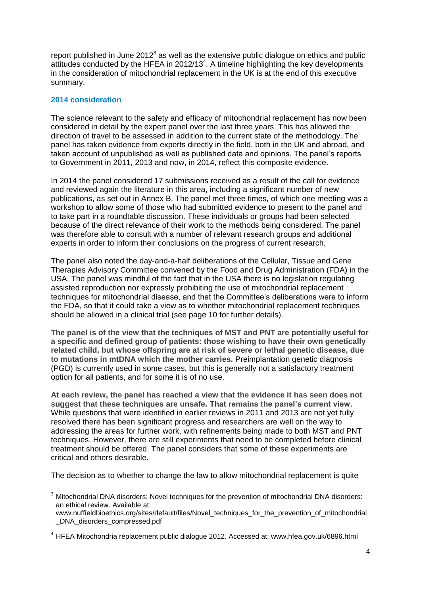report published in June  $2012<sup>3</sup>$  as well as the extensive public dialogue on ethics and public attitudes conducted by the HFEA in  $2012/13<sup>4</sup>$ . A timeline highlighting the key developments in the consideration of mitochondrial replacement in the UK is at the end of this executive summary.

#### **2014 consideration**

The science relevant to the safety and efficacy of mitochondrial replacement has now been considered in detail by the expert panel over the last three years. This has allowed the direction of travel to be assessed in addition to the current state of the methodology. The panel has taken evidence from experts directly in the field, both in the UK and abroad, and taken account of unpublished as well as published data and opinions. The panel's reports to Government in 2011, 2013 and now, in 2014, reflect this composite evidence.

In 2014 the panel considered 17 submissions received as a result of the call for evidence and reviewed again the literature in this area, including a significant number of new publications, as set out in Annex B. The panel met three times, of which one meeting was a workshop to allow some of those who had submitted evidence to present to the panel and to take part in a roundtable discussion. These individuals or groups had been selected because of the direct relevance of their work to the methods being considered. The panel was therefore able to consult with a number of relevant research groups and additional experts in order to inform their conclusions on the progress of current research.

The panel also noted the day-and-a-half deliberations of the Cellular, Tissue and Gene Therapies Advisory Committee convened by the Food and Drug Administration (FDA) in the USA. The panel was mindful of the fact that in the USA there is no legislation regulating assisted reproduction nor expressly prohibiting the use of mitochondrial replacement techniques for mitochondrial disease, and that the Committee's deliberations were to inform the FDA, so that it could take a view as to whether mitochondrial replacement techniques should be allowed in a clinical trial (see page 10 for further details).

**The panel is of the view that the techniques of MST and PNT are potentially useful for a specific and defined group of patients: those wishing to have their own genetically related child, but whose offspring are at risk of severe or lethal genetic disease, due to mutations in mtDNA which the mother carries.** Preimplantation genetic diagnosis (PGD) is currently used in some cases, but this is generally not a satisfactory treatment option for all patients, and for some it is of no use.

**At each review, the panel has reached a view that the evidence it has seen does not suggest that these techniques are unsafe. That remains the panel's current view.** While questions that were identified in earlier reviews in 2011 and 2013 are not yet fully resolved there has been significant progress and researchers are well on the way to addressing the areas for further work, with refinements being made to both MST and PNT techniques. However, there are still experiments that need to be completed before clinical treatment should be offered. The panel considers that some of these experiments are critical and others desirable.

The decision as to whether to change the law to allow mitochondrial replacement is quite

 $\overline{\phantom{a}}$  $3$  Mitochondrial DNA disorders: Novel techniques for the prevention of mitochondrial DNA disorders: an ethical review. Available at:

www.nuffieldbioethics.org/sites/default/files/Novel\_techniques\_for\_the\_prevention\_of\_mitochondrial \_DNA\_disorders\_compressed.pdf

<sup>4</sup> HFEA Mitochondria replacement public dialogue 2012. Accessed at: www.hfea.gov.uk/6896.html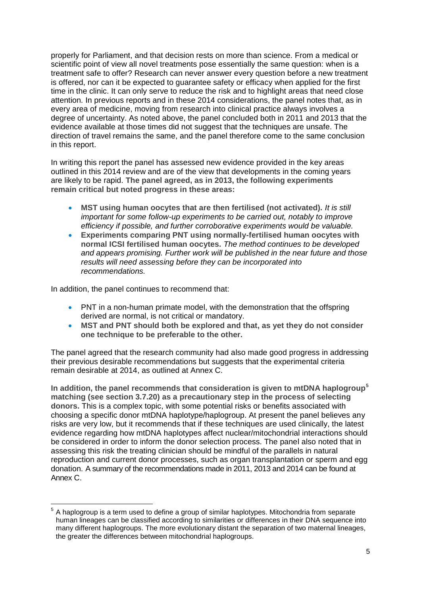properly for Parliament, and that decision rests on more than science. From a medical or scientific point of view all novel treatments pose essentially the same question: when is a treatment safe to offer? Research can never answer every question before a new treatment is offered, nor can it be expected to guarantee safety or efficacy when applied for the first time in the clinic. It can only serve to reduce the risk and to highlight areas that need close attention. In previous reports and in these 2014 considerations, the panel notes that, as in every area of medicine, moving from research into clinical practice always involves a degree of uncertainty. As noted above, the panel concluded both in 2011 and 2013 that the evidence available at those times did not suggest that the techniques are unsafe. The direction of travel remains the same, and the panel therefore come to the same conclusion in this report.

In writing this report the panel has assessed new evidence provided in the key areas outlined in this 2014 review and are of the view that developments in the coming years are likely to be rapid. **The panel agreed, as in 2013, the following experiments remain critical but noted progress in these areas:**

- **MST using human oocytes that are then fertilised (not activated).** *It is still important for some follow-up experiments to be carried out, notably to improve efficiency if possible, and further corroborative experiments would be valuable.*
- **Experiments comparing PNT using normally-fertilised human oocytes with normal ICSI fertilised human oocytes.** *The method continues to be developed and appears promising. Further work will be published in the near future and those results will need assessing before they can be incorporated into recommendations.*

In addition, the panel continues to recommend that:

- PNT in a non-human primate model, with the demonstration that the offspring derived are normal, is not critical or mandatory.
- **MST and PNT should both be explored and that, as yet they do not consider one technique to be preferable to the other.**

The panel agreed that the research community had also made good progress in addressing their previous desirable recommendations but suggests that the experimental criteria remain desirable at 2014, as outlined at Annex C.

**In addition, the panel recommends that consideration is given to mtDNA haplogroup<sup>5</sup> matching (see section 3.7.20) as a precautionary step in the process of selecting donors.** This is a complex topic, with some potential risks or benefits associated with choosing a specific donor mtDNA haplotype/haplogroup. At present the panel believes any risks are very low, but it recommends that if these techniques are used clinically, the latest evidence regarding how mtDNA haplotypes affect nuclear/mitochondrial interactions should be considered in order to inform the donor selection process. The panel also noted that in assessing this risk the treating clinician should be mindful of the parallels in natural reproduction and current donor processes, such as organ transplantation or sperm and egg donation. A summary of the recommendations made in 2011, 2013 and 2014 can be found at Annex C.

\_\_\_\_\_\_\_\_\_\_\_\_\_\_\_\_\_\_\_\_\_\_\_\_\_\_\_\_\_\_\_\_\_\_\_<br><sup>5</sup> A haplogroup is a term used to define a group of similar haplotypes. Mitochondria from separate human lineages can be classified according to similarities or differences in their DNA sequence into many different haplogroups. The more evolutionary distant the separation of two maternal lineages, the greater the differences between mitochondrial haplogroups.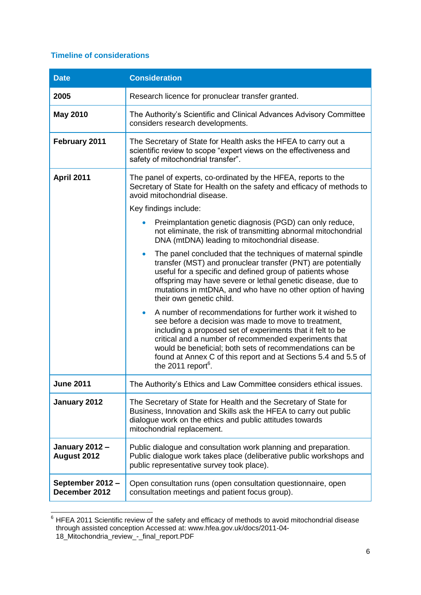#### **Timeline of considerations**

| <b>Date</b>                                 | <b>Consideration</b>                                                                                                                                                                                                                                                                                                                                                                                                  |  |
|---------------------------------------------|-----------------------------------------------------------------------------------------------------------------------------------------------------------------------------------------------------------------------------------------------------------------------------------------------------------------------------------------------------------------------------------------------------------------------|--|
| 2005                                        | Research licence for pronuclear transfer granted.                                                                                                                                                                                                                                                                                                                                                                     |  |
| <b>May 2010</b>                             | The Authority's Scientific and Clinical Advances Advisory Committee<br>considers research developments.                                                                                                                                                                                                                                                                                                               |  |
| February 2011                               | The Secretary of State for Health asks the HFEA to carry out a<br>scientific review to scope "expert views on the effectiveness and<br>safety of mitochondrial transfer".                                                                                                                                                                                                                                             |  |
| April 2011                                  | The panel of experts, co-ordinated by the HFEA, reports to the<br>Secretary of State for Health on the safety and efficacy of methods to<br>avoid mitochondrial disease.                                                                                                                                                                                                                                              |  |
|                                             | Key findings include:                                                                                                                                                                                                                                                                                                                                                                                                 |  |
|                                             | Preimplantation genetic diagnosis (PGD) can only reduce,<br>not eliminate, the risk of transmitting abnormal mitochondrial<br>DNA (mtDNA) leading to mitochondrial disease.                                                                                                                                                                                                                                           |  |
|                                             | The panel concluded that the techniques of maternal spindle<br>$\bullet$<br>transfer (MST) and pronuclear transfer (PNT) are potentially<br>useful for a specific and defined group of patients whose<br>offspring may have severe or lethal genetic disease, due to<br>mutations in mtDNA, and who have no other option of having<br>their own genetic child.                                                        |  |
|                                             | A number of recommendations for further work it wished to<br>$\bullet$<br>see before a decision was made to move to treatment,<br>including a proposed set of experiments that it felt to be<br>critical and a number of recommended experiments that<br>would be beneficial; both sets of recommendations can be<br>found at Annex C of this report and at Sections 5.4 and 5.5 of<br>the 2011 report <sup>6</sup> . |  |
| <b>June 2011</b>                            | The Authority's Ethics and Law Committee considers ethical issues                                                                                                                                                                                                                                                                                                                                                     |  |
| January 2012                                | The Secretary of State for Health and the Secretary of State for<br>Business, Innovation and Skills ask the HFEA to carry out public<br>dialogue work on the ethics and public attitudes towards<br>mitochondrial replacement.                                                                                                                                                                                        |  |
| <b>January 2012 -</b><br><b>August 2012</b> | Public dialogue and consultation work planning and preparation.<br>Public dialogue work takes place (deliberative public workshops and<br>public representative survey took place).                                                                                                                                                                                                                                   |  |
| September 2012 -<br>December 2012           | Open consultation runs (open consultation questionnaire, open<br>consultation meetings and patient focus group).                                                                                                                                                                                                                                                                                                      |  |

 $\overline{\phantom{a}}$  $6$  HFEA 2011 Scientific review of the safety and efficacy of methods to avoid mitochondrial disease through assisted conception Accessed at: www.hfea.gov.uk/docs/2011-04- 18\_Mitochondria\_review\_-\_final\_report.PDF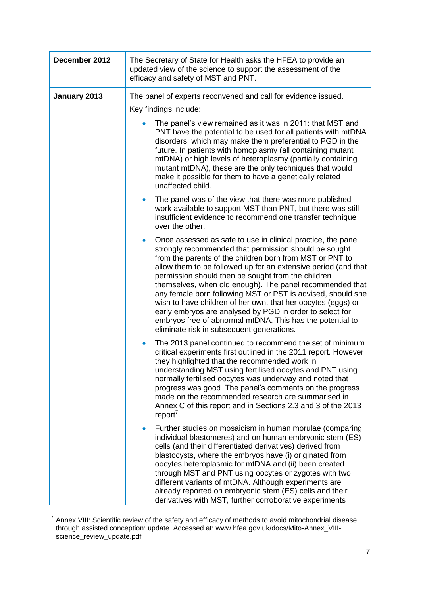| December 2012 | The Secretary of State for Health asks the HFEA to provide an<br>updated view of the science to support the assessment of the<br>efficacy and safety of MST and PNT.                                                                                                                                                                                                                                                                                                                                                                                                                                                                                                                    |  |
|---------------|-----------------------------------------------------------------------------------------------------------------------------------------------------------------------------------------------------------------------------------------------------------------------------------------------------------------------------------------------------------------------------------------------------------------------------------------------------------------------------------------------------------------------------------------------------------------------------------------------------------------------------------------------------------------------------------------|--|
| January 2013  | The panel of experts reconvened and call for evidence issued.                                                                                                                                                                                                                                                                                                                                                                                                                                                                                                                                                                                                                           |  |
|               | Key findings include:                                                                                                                                                                                                                                                                                                                                                                                                                                                                                                                                                                                                                                                                   |  |
|               | The panel's view remained as it was in 2011: that MST and<br>PNT have the potential to be used for all patients with mtDNA<br>disorders, which may make them preferential to PGD in the<br>future. In patients with homoplasmy (all containing mutant<br>mtDNA) or high levels of heteroplasmy (partially containing<br>mutant mtDNA), these are the only techniques that would<br>make it possible for them to have a genetically related<br>unaffected child.                                                                                                                                                                                                                         |  |
|               | The panel was of the view that there was more published<br>$\bullet$<br>work available to support MST than PNT, but there was still<br>insufficient evidence to recommend one transfer technique<br>over the other.                                                                                                                                                                                                                                                                                                                                                                                                                                                                     |  |
|               | Once assessed as safe to use in clinical practice, the panel<br>$\bullet$<br>strongly recommended that permission should be sought<br>from the parents of the children born from MST or PNT to<br>allow them to be followed up for an extensive period (and that<br>permission should then be sought from the children<br>themselves, when old enough). The panel recommended that<br>any female born following MST or PST is advised, should she<br>wish to have children of her own, that her oocytes (eggs) or<br>early embryos are analysed by PGD in order to select for<br>embryos free of abnormal mtDNA. This has the potential to<br>eliminate risk in subsequent generations. |  |
|               | The 2013 panel continued to recommend the set of minimum<br>$\bullet$<br>critical experiments first outlined in the 2011 report. However<br>they highlighted that the recommended work in<br>understanding MST using fertilised oocytes and PNT using<br>normally fertilised oocytes was underway and noted that<br>progress was good. The panel's comments on the progress<br>made on the recommended research are summarised in<br>Annex C of this report and in Sections 2.3 and 3 of the 2013<br>report <sup>7</sup> .                                                                                                                                                              |  |
|               | Further studies on mosaicism in human morulae (comparing<br>individual blastomeres) and on human embryonic stem (ES)<br>cells (and their differentiated derivatives) derived from<br>blastocysts, where the embryos have (i) originated from<br>oocytes heteroplasmic for mtDNA and (ii) been created<br>through MST and PNT using oocytes or zygotes with two<br>different variants of mtDNA. Although experiments are<br>already reported on embryonic stem (ES) cells and their<br>derivatives with MST, further corroborative experiments                                                                                                                                           |  |

<sup>————————————————————&</sup>lt;br><sup>7</sup> Annex VIII: Scientific review of the safety and efficacy of methods to avoid mitochondrial disease through assisted conception: update. Accessed at: www.hfea.gov.uk/docs/Mito-Annex\_VIIIscience\_review\_update.pdf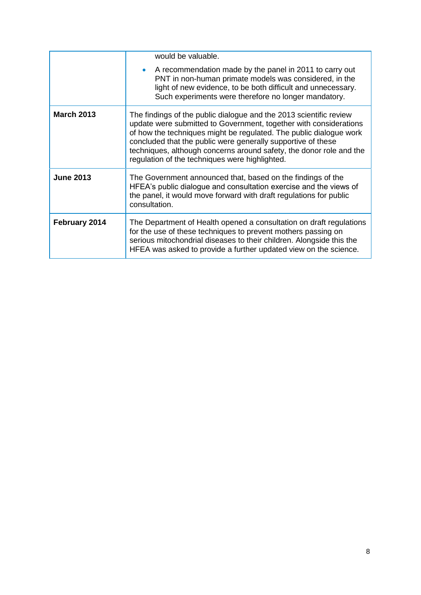|                   | would be valuable.<br>A recommendation made by the panel in 2011 to carry out<br>PNT in non-human primate models was considered, in the<br>light of new evidence, to be both difficult and unnecessary.<br>Such experiments were therefore no longer mandatory.                                                                                                                                        |
|-------------------|--------------------------------------------------------------------------------------------------------------------------------------------------------------------------------------------------------------------------------------------------------------------------------------------------------------------------------------------------------------------------------------------------------|
| <b>March 2013</b> | The findings of the public dialogue and the 2013 scientific review<br>update were submitted to Government, together with considerations<br>of how the techniques might be regulated. The public dialogue work<br>concluded that the public were generally supportive of these<br>techniques, although concerns around safety, the donor role and the<br>regulation of the techniques were highlighted. |
| <b>June 2013</b>  | The Government announced that, based on the findings of the<br>HFEA's public dialogue and consultation exercise and the views of<br>the panel, it would move forward with draft regulations for public<br>consultation.                                                                                                                                                                                |
| February 2014     | The Department of Health opened a consultation on draft regulations<br>for the use of these techniques to prevent mothers passing on<br>serious mitochondrial diseases to their children. Alongside this the<br>HFEA was asked to provide a further updated view on the science.                                                                                                                       |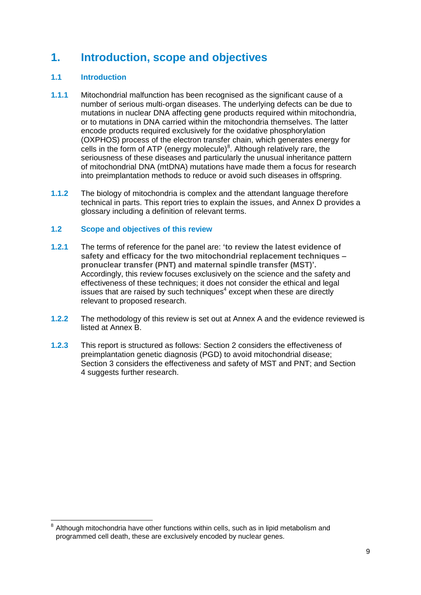### **1. Introduction, scope and objectives**

#### **1.1 Introduction**

- **1.1.1** Mitochondrial malfunction has been recognised as the significant cause of a number of serious multi-organ diseases. The underlying defects can be due to mutations in nuclear DNA affecting gene products required within mitochondria, or to mutations in DNA carried within the mitochondria themselves. The latter encode products required exclusively for the oxidative phosphorylation (OXPHOS) process of the electron transfer chain, which generates energy for cells in the form of ATP (energy molecule) $8$ . Although relatively rare, the seriousness of these diseases and particularly the unusual inheritance pattern of mitochondrial DNA (mtDNA) mutations have made them a focus for research into preimplantation methods to reduce or avoid such diseases in offspring.
- **1.1.2** The biology of mitochondria is complex and the attendant language therefore technical in parts. This report tries to explain the issues, and Annex D provides a glossary including a definition of relevant terms.

#### **1.2 Scope and objectives of this review**

- **1.2.1** The terms of reference for the panel are: **'to review the latest evidence of safety and efficacy for the two mitochondrial replacement techniques – pronuclear transfer (PNT) and maternal spindle transfer (MST)'.** Accordingly, this review focuses exclusively on the science and the safety and effectiveness of these techniques; it does not consider the ethical and legal issues that are raised by such techniques<sup>4</sup> except when these are directly relevant to proposed research.
- **1.2.2** The methodology of this review is set out at Annex A and the evidence reviewed is listed at Annex B.
- **1.2.3** This report is structured as follows: Section 2 considers the effectiveness of preimplantation genetic diagnosis (PGD) to avoid mitochondrial disease; Section 3 considers the effectiveness and safety of MST and PNT; and Section 4 suggests further research.

 8 Although mitochondria have other functions within cells, such as in lipid metabolism and programmed cell death, these are exclusively encoded by nuclear genes.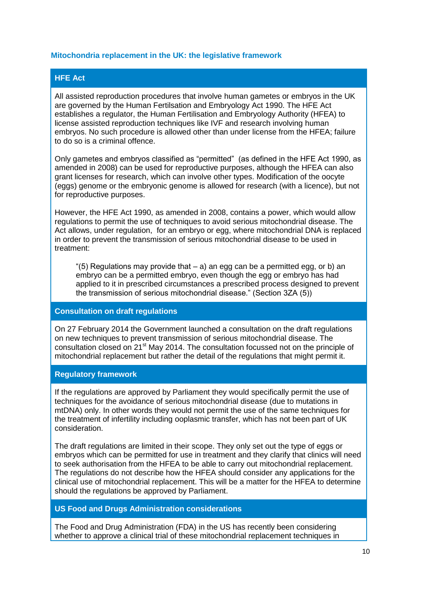#### **Mitochondria replacement in the UK: the legislative framework**

#### **HFE Act**

All assisted reproduction procedures that involve human gametes or embryos in the UK are governed by the Human Fertilsation and Embryology Act 1990. The HFE Act establishes a regulator, the Human Fertilisation and Embryology Authority (HFEA) to license assisted reproduction techniques like IVF and research involving human embryos. No such procedure is allowed other than under license from the HFEA; failure to do so is a criminal offence.

Only gametes and embryos classified as "permitted" (as defined in the HFE Act 1990, as amended in 2008) can be used for reproductive purposes, although the HFEA can also grant licenses for research, which can involve other types. Modification of the oocyte (eggs) genome or the embryonic genome is allowed for research (with a licence), but not for reproductive purposes.

However, the HFE Act 1990, as amended in 2008, contains a power, which would allow regulations to permit the use of techniques to avoid serious mitochondrial disease. The Act allows, under regulation, for an embryo or egg, where mitochondrial DNA is replaced in order to prevent the transmission of serious mitochondrial disease to be used in treatment:

"(5) Regulations may provide that  $-$  a) an egg can be a permitted egg, or b) an embryo can be a permitted embryo, even though the egg or embryo has had applied to it in prescribed circumstances a prescribed process designed to prevent the transmission of serious mitochondrial disease." (Section 3ZA (5))

#### **Consultation on draft regulations**

On 27 February 2014 the Government launched a consultation on the draft regulations on new techniques to prevent transmission of serious mitochondrial disease. The consultation closed on 21<sup>st</sup> May 2014. The consultation focussed not on the principle of mitochondrial replacement but rather the detail of the regulations that might permit it.

#### **Regulatory framework**

If the regulations are approved by Parliament they would specifically permit the use of techniques for the avoidance of serious mitochondrial disease (due to mutations in mtDNA) only. In other words they would not permit the use of the same techniques for the treatment of infertility including ooplasmic transfer, which has not been part of UK consideration.

The draft regulations are limited in their scope. They only set out the type of eggs or embryos which can be permitted for use in treatment and they clarify that clinics will need to seek authorisation from the HFEA to be able to carry out mitochondrial replacement. The regulations do not describe how the HFEA should consider any applications for the clinical use of mitochondrial replacement. This will be a matter for the HFEA to determine should the regulations be approved by Parliament.

#### **US Food and Drugs Administration considerations**

The Food and Drug Administration (FDA) in the US has recently been considering whether to approve a clinical trial of these mitochondrial replacement techniques in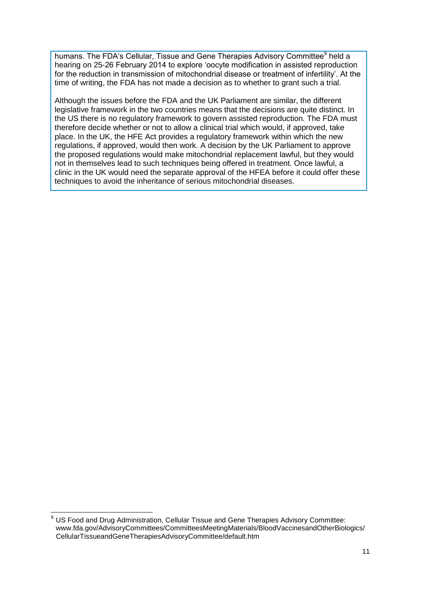humans. The FDA's Cellular, Tissue and Gene Therapies Advisory Committee<sup>9</sup> held a hearing on 25-26 February 2014 to explore 'oocyte modification in assisted reproduction for the reduction in transmission of mitochondrial disease or treatment of infertility'. At the time of writing, the FDA has not made a decision as to whether to grant such a trial.

Although the issues before the FDA and the UK Parliament are similar, the different legislative framework in the two countries means that the decisions are quite distinct. In the US there is no regulatory framework to govern assisted reproduction. The FDA must therefore decide whether or not to allow a clinical trial which would, if approved, take place. In the UK, the HFE Act provides a regulatory framework within which the new regulations, if approved, would then work. A decision by the UK Parliament to approve the proposed regulations would make mitochondrial replacement lawful, but they would not in themselves lead to such techniques being offered in treatment. Once lawful, a clinic in the UK would need the separate approval of the HFEA before it could offer these techniques to avoid the inheritance of serious mitochondrial diseases.

 $\overline{a}$  $9$  US Food and Drug Administration, Cellular Tissue and Gene Therapies Advisory Committee: www.fda.gov/AdvisoryCommittees/CommitteesMeetingMaterials/BloodVaccinesandOtherBiologics/ CellularTissueandGeneTherapiesAdvisoryCommittee/default.htm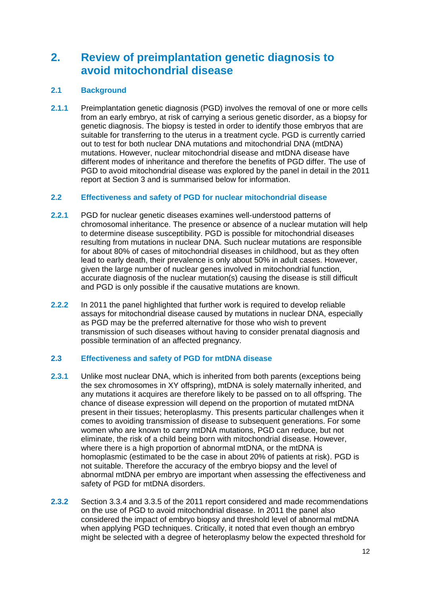### **2. Review of preimplantation genetic diagnosis to avoid mitochondrial disease**

#### **2.1 Background**

**2.1.1** Preimplantation genetic diagnosis (PGD) involves the removal of one or more cells from an early embryo, at risk of carrying a serious genetic disorder, as a biopsy for genetic diagnosis. The biopsy is tested in order to identify those embryos that are suitable for transferring to the uterus in a treatment cycle. PGD is currently carried out to test for both nuclear DNA mutations and mitochondrial DNA (mtDNA) mutations. However, nuclear mitochondrial disease and mtDNA disease have different modes of inheritance and therefore the benefits of PGD differ. The use of PGD to avoid mitochondrial disease was explored by the panel in detail in the 2011 report at Section 3 and is summarised below for information.

#### **2.2 Effectiveness and safety of PGD for nuclear mitochondrial disease**

- **2.2.1** PGD for nuclear genetic diseases examines well-understood patterns of chromosomal inheritance. The presence or absence of a nuclear mutation will help to determine disease susceptibility. PGD is possible for mitochondrial diseases resulting from mutations in nuclear DNA. Such nuclear mutations are responsible for about 80% of cases of mitochondrial diseases in childhood, but as they often lead to early death, their prevalence is only about 50% in adult cases. However, given the large number of nuclear genes involved in mitochondrial function, accurate diagnosis of the nuclear mutation(s) causing the disease is still difficult and PGD is only possible if the causative mutations are known.
- **2.2.2** In 2011 the panel highlighted that further work is required to develop reliable assays for mitochondrial disease caused by mutations in nuclear DNA, especially as PGD may be the preferred alternative for those who wish to prevent transmission of such diseases without having to consider prenatal diagnosis and possible termination of an affected pregnancy.

#### **2.3 Effectiveness and safety of PGD for mtDNA disease**

- **2.3.1** Unlike most nuclear DNA, which is inherited from both parents (exceptions being the sex chromosomes in XY offspring), mtDNA is solely maternally inherited, and any mutations it acquires are therefore likely to be passed on to all offspring. The chance of disease expression will depend on the proportion of mutated mtDNA present in their tissues; heteroplasmy. This presents particular challenges when it comes to avoiding transmission of disease to subsequent generations. For some women who are known to carry mtDNA mutations, PGD can reduce, but not eliminate, the risk of a child being born with mitochondrial disease. However, where there is a high proportion of abnormal mtDNA, or the mtDNA is homoplasmic (estimated to be the case in about 20% of patients at risk). PGD is not suitable. Therefore the accuracy of the embryo biopsy and the level of abnormal mtDNA per embryo are important when assessing the effectiveness and safety of PGD for mtDNA disorders.
- **2.3.2** Section 3.3.4 and 3.3.5 of the 2011 report considered and made recommendations on the use of PGD to avoid mitochondrial disease. In 2011 the panel also considered the impact of embryo biopsy and threshold level of abnormal mtDNA when applying PGD techniques. Critically, it noted that even though an embryo might be selected with a degree of heteroplasmy below the expected threshold for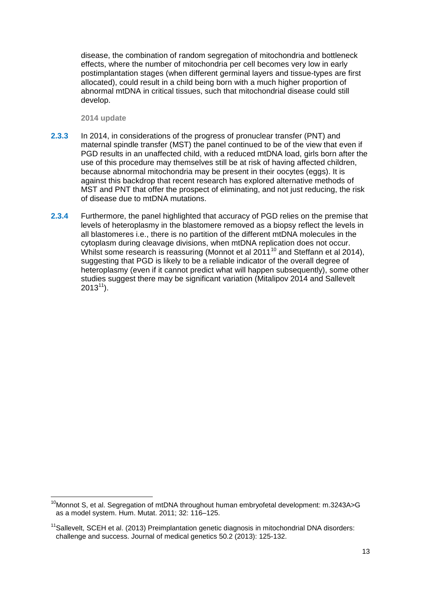disease, the combination of random segregation of mitochondria and bottleneck effects, where the number of mitochondria per cell becomes very low in early postimplantation stages (when different germinal layers and tissue-types are first allocated), could result in a child being born with a much higher proportion of abnormal mtDNA in critical tissues, such that mitochondrial disease could still develop.

**2014 update**

- **2.3.3** In 2014, in considerations of the progress of pronuclear transfer (PNT) and maternal spindle transfer (MST) the panel continued to be of the view that even if PGD results in an unaffected child, with a reduced mtDNA load, girls born after the use of this procedure may themselves still be at risk of having affected children, because abnormal mitochondria may be present in their oocytes (eggs). It is against this backdrop that recent research has explored alternative methods of MST and PNT that offer the prospect of eliminating, and not just reducing, the risk of disease due to mtDNA mutations.
- **2.3.4** Furthermore, the panel highlighted that accuracy of PGD relies on the premise that levels of heteroplasmy in the blastomere removed as a biopsy reflect the levels in all blastomeres i.e., there is no partition of the different mtDNA molecules in the cytoplasm during cleavage divisions, when mtDNA replication does not occur. Whilst some research is reassuring (Monnot et al  $2011^{10}$  and Steffann et al 2014). suggesting that PGD is likely to be a reliable indicator of the overall degree of heteroplasmy (even if it cannot predict what will happen subsequently), some other studies suggest there may be significant variation (Mitalipov 2014 and Sallevelt  $2013^{11}$ ).

**<sup>.</sup>** <sup>10</sup>Monnot S, et al. Segregation of mtDNA throughout human embryofetal development: m.3243A>G as a model system. Hum. Mutat. 2011; 32: 116–125.

<sup>&</sup>lt;sup>11</sup>Sallevelt, SCEH et al. (2013) Preimplantation genetic diagnosis in mitochondrial DNA disorders: challenge and success. Journal of medical genetics 50.2 (2013): 125-132.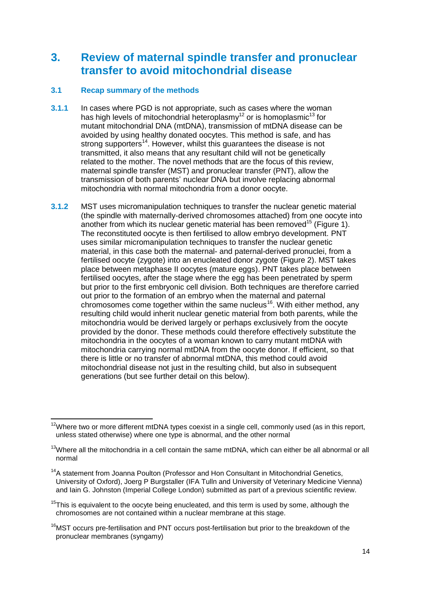### **3. Review of maternal spindle transfer and pronuclear transfer to avoid mitochondrial disease**

#### **3.1 Recap summary of the methods**

- **3.1.1** In cases where PGD is not appropriate, such as cases where the woman has high levels of mitochondrial heteroplasmy<sup>12</sup> or is homoplasmic<sup>13</sup> for mutant mitochondrial DNA (mtDNA), transmission of mtDNA disease can be avoided by using healthy donated oocytes. This method is safe, and has strong supporters<sup>14</sup>. However, whilst this guarantees the disease is not transmitted, it also means that any resultant child will not be genetically related to the mother. The novel methods that are the focus of this review, maternal spindle transfer (MST) and pronuclear transfer (PNT), allow the transmission of both parents' nuclear DNA but involve replacing abnormal mitochondria with normal mitochondria from a donor oocyte.
- **3.1.2** MST uses micromanipulation techniques to transfer the nuclear genetic material (the spindle with maternally-derived chromosomes attached) from one oocyte into another from which its nuclear genetic material has been removed<sup>15</sup> (Figure 1). The reconstituted oocyte is then fertilised to allow embryo development. PNT uses similar micromanipulation techniques to transfer the nuclear genetic material, in this case both the maternal- and paternal-derived pronuclei, from a fertilised oocyte (zygote) into an enucleated donor zygote (Figure 2). MST takes place between metaphase II oocytes (mature eggs). PNT takes place between fertilised oocytes, after the stage where the egg has been penetrated by sperm but prior to the first embryonic cell division. Both techniques are therefore carried out prior to the formation of an embryo when the maternal and paternal chromosomes come together within the same nucleus<sup>16</sup>. With either method, any resulting child would inherit nuclear genetic material from both parents, while the mitochondria would be derived largely or perhaps exclusively from the oocyte provided by the donor. These methods could therefore effectively substitute the mitochondria in the oocytes of a woman known to carry mutant mtDNA with mitochondria carrying normal mtDNA from the oocyte donor. If efficient, so that there is little or no transfer of abnormal mtDNA, this method could avoid mitochondrial disease not just in the resulting child, but also in subsequent generations (but see further detail on this below).

<sup>16</sup>MST occurs pre-fertilisation and PNT occurs post-fertilisation but prior to the breakdown of the pronuclear membranes (syngamy)

 $\overline{a}$  $12$ Where two or more different mtDNA types coexist in a single cell, commonly used (as in this report, unless stated otherwise) where one type is abnormal, and the other normal

<sup>&</sup>lt;sup>13</sup>Where all the mitochondria in a cell contain the same mtDNA, which can either be all abnormal or all normal

<sup>&</sup>lt;sup>14</sup>A statement from Joanna Poulton (Professor and Hon Consultant in Mitochondrial Genetics, University of Oxford), Joerg P Burgstaller (IFA Tulln and University of Veterinary Medicine Vienna) and Iain G. Johnston (Imperial College London) submitted as part of a previous scientific review.

 $15$ This is equivalent to the oocyte being enucleated, and this term is used by some, although the chromosomes are not contained within a nuclear membrane at this stage.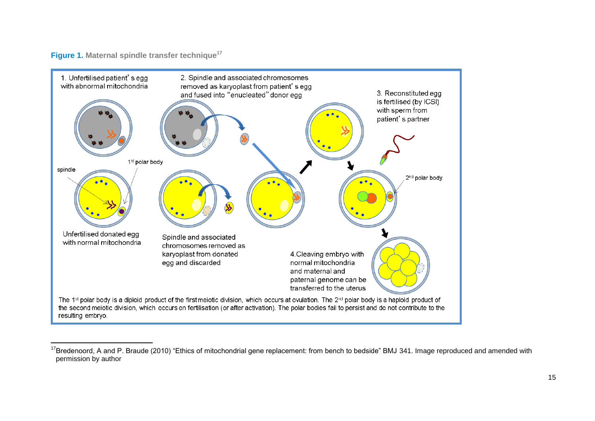#### <span id="page-14-0"></span>**Figure 1. Maternal spindle transfer technique 17**

 $\overline{a}$ 



<sup>&</sup>lt;sup>17</sup>Bredenoord, A and P. Braude (2010) "Ethics of mitochondrial gene replacement: from bench to bedside" BMJ 341. Image reproduced and amended with permission by author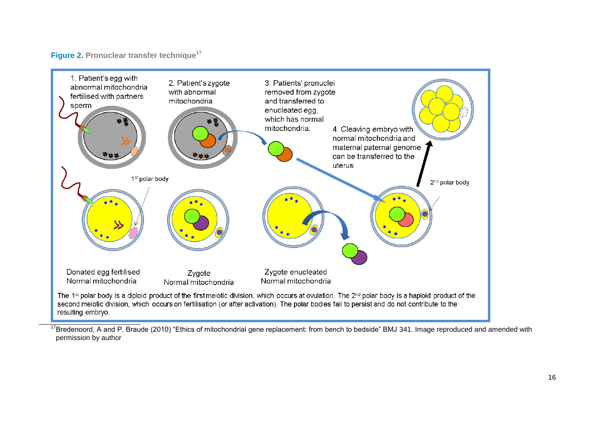#### **Figure 2. Pronuclear transfer technique [17](#page-14-0)**



<sup>17</sup>Bredenoord, A and P. Braude (2010) "Ethics of mitochondrial gene replacement: from bench to bedside" BMJ 341. Image reproduced and amended with permission by author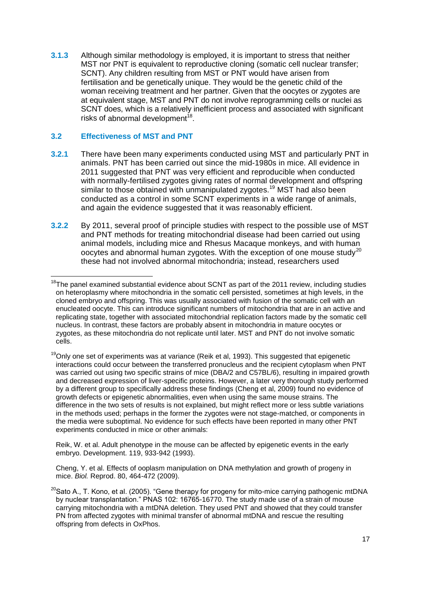**3.1.3** Although similar methodology is employed, it is important to stress that neither MST nor PNT is equivalent to reproductive cloning (somatic cell nuclear transfer; SCNT). Any children resulting from MST or PNT would have arisen from fertilisation and be genetically unique. They would be the genetic child of the woman receiving treatment and her partner. Given that the oocytes or zygotes are at equivalent stage, MST and PNT do not involve reprogramming cells or nuclei as SCNT does, which is a relatively inefficient process and associated with significant risks of abnormal development<sup>18</sup>.

#### **3.2 Effectiveness of MST and PNT**

- **3.2.1** There have been many experiments conducted using MST and particularly PNT in animals. PNT has been carried out since the mid-1980s in mice. All evidence in 2011 suggested that PNT was very efficient and reproducible when conducted with normally-fertilised zygotes giving rates of normal development and offspring similar to those obtained with unmanipulated zygotes.<sup>19</sup> MST had also been conducted as a control in some SCNT experiments in a wide range of animals, and again the evidence suggested that it was reasonably efficient.
- **3.2.2** By 2011, several proof of principle studies with respect to the possible use of MST and PNT methods for treating mitochondrial disease had been carried out using animal models, including mice and Rhesus Macaque monkeys, and with human oocytes and abnormal human zygotes. With the exception of one mouse study<sup>20</sup> these had not involved abnormal mitochondria; instead, researchers used

Reik, W. et al. Adult phenotype in the mouse can be affected by epigenetic events in the early embryo. Development. 119, 933-942 (1993).

Cheng, Y. et al. Effects of ooplasm manipulation on DNA methylation and growth of progeny in mice. *Biol.* Reprod. 80, 464-472 (2009).

 $\overline{a}$  $18$ The panel examined substantial evidence about SCNT as part of the 2011 review, including studies on heteroplasmy where mitochondria in the somatic cell persisted, sometimes at high levels, in the cloned embryo and offspring. This was usually associated with fusion of the somatic cell with an enucleated oocyte. This can introduce significant numbers of mitochondria that are in an active and replicating state, together with associated mitochondrial replication factors made by the somatic cell nucleus. In contrast, these factors are probably absent in mitochondria in mature oocytes or zygotes, as these mitochondria do not replicate until later. MST and PNT do not involve somatic cells.

 $19$ Only one set of experiments was at variance (Reik et al, 1993). This suggested that epigenetic interactions could occur between the transferred pronucleus and the recipient cytoplasm when PNT was carried out using two specific strains of mice (DBA/2 and C57BL/6), resulting in impaired growth and decreased expression of liver-specific proteins. However, a later very thorough study performed by a different group to specifically address these findings (Cheng et al, 2009) found no evidence of growth defects or epigenetic abnormalities, even when using the same mouse strains. The difference in the two sets of results is not explained, but might reflect more or less subtle variations in the methods used; perhaps in the former the zygotes were not stage-matched, or components in the media were suboptimal. No evidence for such effects have been reported in many other PNT experiments conducted in mice or other animals:

<sup>&</sup>lt;sup>20</sup>Sato A., T. Kono, et al. (2005). "Gene therapy for progeny for mito-mice carrying pathogenic mtDNA by nuclear transplantation." PNAS 102: 16765-16770. The study made use of a strain of mouse carrying mitochondria with a mtDNA deletion. They used PNT and showed that they could transfer PN from affected zygotes with minimal transfer of abnormal mtDNA and rescue the resulting offspring from defects in OxPhos.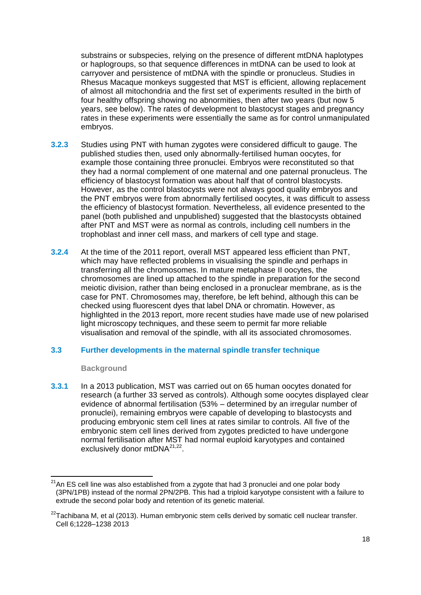substrains or subspecies, relying on the presence of different mtDNA haplotypes or haplogroups, so that sequence differences in mtDNA can be used to look at carryover and persistence of mtDNA with the spindle or pronucleus. Studies in Rhesus Macaque monkeys suggested that MST is efficient, allowing replacement of almost all mitochondria and the first set of experiments resulted in the birth of four healthy offspring showing no abnormities, then after two years (but now 5 years, see below). The rates of development to blastocyst stages and pregnancy rates in these experiments were essentially the same as for control unmanipulated embryos.

- **3.2.3** Studies using PNT with human zygotes were considered difficult to gauge. The published studies then, used only abnormally-fertilised human oocytes, for example those containing three pronuclei. Embryos were reconstituted so that they had a normal complement of one maternal and one paternal pronucleus. The efficiency of blastocyst formation was about half that of control blastocysts. However, as the control blastocysts were not always good quality embryos and the PNT embryos were from abnormally fertilised oocytes, it was difficult to assess the efficiency of blastocyst formation. Nevertheless, all evidence presented to the panel (both published and unpublished) suggested that the blastocysts obtained after PNT and MST were as normal as controls, including cell numbers in the trophoblast and inner cell mass, and markers of cell type and stage.
- **3.2.4** At the time of the 2011 report, overall MST appeared less efficient than PNT, which may have reflected problems in visualising the spindle and perhaps in transferring all the chromosomes. In mature metaphase II oocytes, the chromosomes are lined up attached to the spindle in preparation for the second meiotic division, rather than being enclosed in a pronuclear membrane, as is the case for PNT. Chromosomes may, therefore, be left behind, although this can be checked using fluorescent dyes that label DNA or chromatin. However, as highlighted in the 2013 report, more recent studies have made use of new polarised light microscopy techniques, and these seem to permit far more reliable visualisation and removal of the spindle, with all its associated chromosomes.

#### **3.3 Further developments in the maternal spindle transfer technique**

#### **Background**

 $\overline{\phantom{a}}$ 

**3.3.1** In a 2013 publication, MST was carried out on 65 human oocytes donated for research (a further 33 served as controls). Although some oocytes displayed clear evidence of abnormal fertilisation (53% – determined by an irregular number of pronuclei), remaining embryos were capable of developing to blastocysts and producing embryonic stem cell lines at rates similar to controls. All five of the embryonic stem cell lines derived from zygotes predicted to have undergone normal fertilisation after MST had normal euploid karyotypes and contained exclusively donor mtDNA<sup>21,22</sup>.

 $21$ An ES cell line was also established from a zygote that had 3 pronuclei and one polar body (3PN/1PB) instead of the normal 2PN/2PB. This had a triploid karyotype consistent with a failure to extrude the second polar body and retention of its genetic material.

 $22$ Tachibana M, et al (2013). Human embryonic stem cells derived by somatic cell nuclear transfer. [Cell 6;](http://www.cell.com/cell/issue?pii=S0092-8674%2813%29X0012-1)1228–1238 2013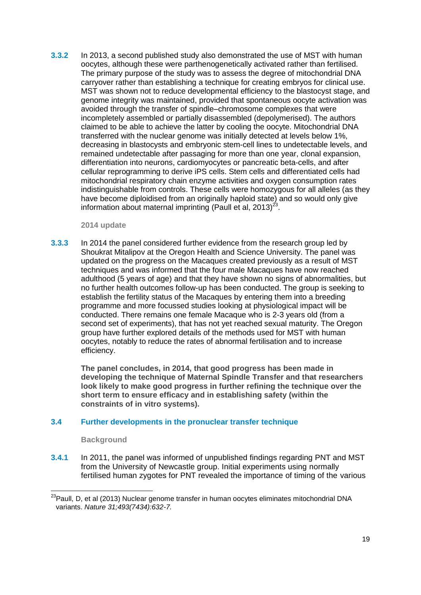**3.3.2** In 2013, a second published study also demonstrated the use of MST with human oocytes, although these were parthenogenetically activated rather than fertilised. The primary purpose of the study was to assess the degree of mitochondrial DNA carryover rather than establishing a technique for creating embryos for clinical use. MST was shown not to reduce developmental efficiency to the blastocyst stage, and genome integrity was maintained, provided that spontaneous oocyte activation was avoided through the transfer of spindle–chromosome complexes that were incompletely assembled or partially disassembled (depolymerised). The authors claimed to be able to achieve the latter by cooling the oocyte. Mitochondrial DNA transferred with the nuclear genome was initially detected at levels below 1%, decreasing in blastocysts and embryonic stem-cell lines to undetectable levels, and remained undetectable after passaging for more than one year, clonal expansion, differentiation into neurons, cardiomyocytes or pancreatic beta-cells, and after cellular reprogramming to derive iPS cells. Stem cells and differentiated cells had mitochondrial respiratory chain enzyme activities and oxygen consumption rates indistinguishable from controls. These cells were homozygous for all alleles (as they have become diploidised from an originally haploid state) and so would only give information about maternal imprinting (Paull et al, 2013) $^{23}$ .

<span id="page-18-0"></span>**2014 update**

**3.3.3** In 2014 the panel considered further evidence from the research group led by Shoukrat Mitalipov at the Oregon Health and Science University. The panel was updated on the progress on the Macaques created previously as a result of MST techniques and was informed that the four male Macaques have now reached adulthood (5 years of age) and that they have shown no signs of abnormalities, but no further health outcomes follow-up has been conducted. The group is seeking to establish the fertility status of the Macaques by entering them into a breeding programme and more focussed studies looking at physiological impact will be conducted. There remains one female Macaque who is 2-3 years old (from a second set of experiments), that has not yet reached sexual maturity. The Oregon group have further explored details of the methods used for MST with human oocytes, notably to reduce the rates of abnormal fertilisation and to increase efficiency.

**The panel concludes, in 2014, that good progress has been made in developing the technique of Maternal Spindle Transfer and that researchers look likely to make good progress in further refining the technique over the short term to ensure efficacy and in establishing safety (within the constraints of in vitro systems).** 

#### **3.4 Further developments in the pronuclear transfer technique**

#### **Background**

**3.4.1** In 2011, the panel was informed of unpublished findings regarding PNT and MST from the University of Newcastle group. Initial experiments using normally fertilised human zygotes for PNT revealed the importance of timing of the various

**<sup>.</sup>** <sup>23</sup>Paull, D, et al (2013) Nuclear genome transfer in human oocytes eliminates mitochondrial DNA variants. *Nature 31;493(7434):632-7.*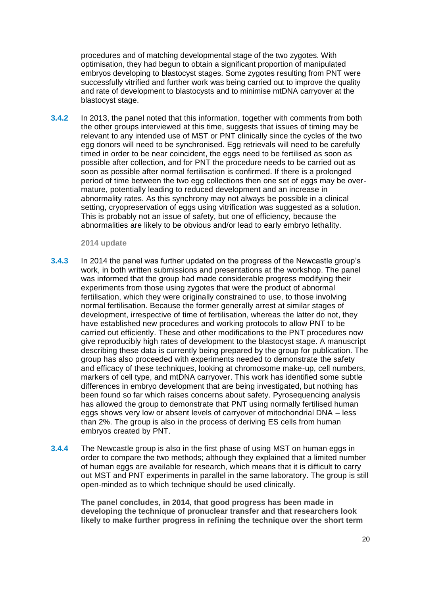procedures and of matching developmental stage of the two zygotes. With optimisation, they had begun to obtain a significant proportion of manipulated embryos developing to blastocyst stages. Some zygotes resulting from PNT were successfully vitrified and further work was being carried out to improve the quality and rate of development to blastocysts and to minimise mtDNA carryover at the blastocyst stage.

**3.4.2** In 2013, the panel noted that this information, together with comments from both the other groups interviewed at this time, suggests that issues of timing may be relevant to any intended use of MST or PNT clinically since the cycles of the two egg donors will need to be synchronised. Egg retrievals will need to be carefully timed in order to be near coincident, the eggs need to be fertilised as soon as possible after collection, and for PNT the procedure needs to be carried out as soon as possible after normal fertilisation is confirmed. If there is a prolonged period of time between the two egg collections then one set of eggs may be overmature, potentially leading to reduced development and an increase in abnormality rates. As this synchrony may not always be possible in a clinical setting, cryopreservation of eggs using vitrification was suggested as a solution. This is probably not an issue of safety, but one of efficiency, because the abnormalities are likely to be obvious and/or lead to early embryo lethality.

#### **2014 update**

- **3.4.3** In 2014 the panel was further updated on the progress of the Newcastle group's work, in both written submissions and presentations at the workshop. The panel was informed that the group had made considerable progress modifying their experiments from those using zygotes that were the product of abnormal fertilisation, which they were originally constrained to use, to those involving normal fertilisation. Because the former generally arrest at similar stages of development, irrespective of time of fertilisation, whereas the latter do not, they have established new procedures and working protocols to allow PNT to be carried out efficiently. These and other modifications to the PNT procedures now give reproducibly high rates of development to the blastocyst stage. A manuscript describing these data is currently being prepared by the group for publication. The group has also proceeded with experiments needed to demonstrate the safety and efficacy of these techniques, looking at chromosome make-up, cell numbers, markers of cell type, and mtDNA carryover. This work has identified some subtle differences in embryo development that are being investigated, but nothing has been found so far which raises concerns about safety. Pyrosequencing analysis has allowed the group to demonstrate that PNT using normally fertilised human eggs shows very low or absent levels of carryover of mitochondrial DNA – less than 2%. The group is also in the process of deriving ES cells from human embryos created by PNT.
- **3.4.4** The Newcastle group is also in the first phase of using MST on human eggs in order to compare the two methods; although they explained that a limited number of human eggs are available for research, which means that it is difficult to carry out MST and PNT experiments in parallel in the same laboratory. The group is still open-minded as to which technique should be used clinically.

**The panel concludes, in 2014, that good progress has been made in developing the technique of pronuclear transfer and that researchers look likely to make further progress in refining the technique over the short term**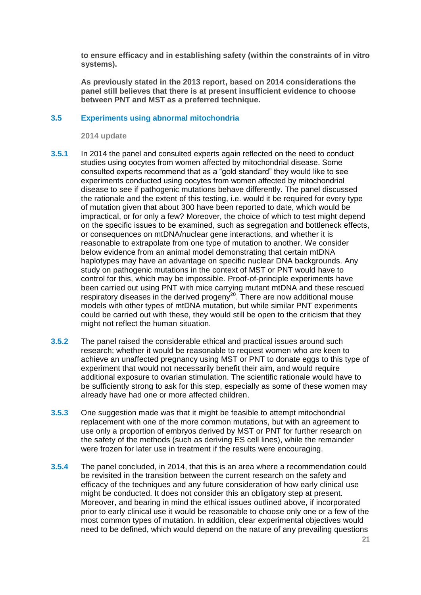**to ensure efficacy and in establishing safety (within the constraints of in vitro systems).**

**As previously stated in the 2013 report, based on 2014 considerations the panel still believes that there is at present insufficient evidence to choose between PNT and MST as a preferred technique.**

#### **3.5 Experiments using abnormal mitochondria**

**2014 update**

- **3.5.1** In 2014 the panel and consulted experts again reflected on the need to conduct studies using oocytes from women affected by mitochondrial disease. Some consulted experts recommend that as a "gold standard" they would like to see experiments conducted using oocytes from women affected by mitochondrial disease to see if pathogenic mutations behave differently. The panel discussed the rationale and the extent of this testing, i.e. would it be required for every type of mutation given that about 300 have been reported to date, which would be impractical, or for only a few? Moreover, the choice of which to test might depend on the specific issues to be examined, such as segregation and bottleneck effects, or consequences on mtDNA/nuclear gene interactions, and whether it is reasonable to extrapolate from one type of mutation to another. We consider below evidence from an animal model demonstrating that certain mtDNA haplotypes may have an advantage on specific nuclear DNA backgrounds. Any study on pathogenic mutations in the context of MST or PNT would have to control for this, which may be impossible. Proof-of-principle experiments have been carried out using PNT with mice carrying mutant mtDNA and these rescued respiratory diseases in the derived progeny $2^0$ . There are now additional mouse models with other types of mtDNA mutation, but while similar PNT experiments could be carried out with these, they would still be open to the criticism that they might not reflect the human situation.
- **3.5.2** The panel raised the considerable ethical and practical issues around such research; whether it would be reasonable to request women who are keen to achieve an unaffected pregnancy using MST or PNT to donate eggs to this type of experiment that would not necessarily benefit their aim, and would require additional exposure to ovarian stimulation. The scientific rationale would have to be sufficiently strong to ask for this step, especially as some of these women may already have had one or more affected children.
- **3.5.3** One suggestion made was that it might be feasible to attempt mitochondrial replacement with one of the more common mutations, but with an agreement to use only a proportion of embryos derived by MST or PNT for further research on the safety of the methods (such as deriving ES cell lines), while the remainder were frozen for later use in treatment if the results were encouraging.
- **3.5.4** The panel concluded, in 2014, that this is an area where a recommendation could be revisited in the transition between the current research on the safety and efficacy of the techniques and any future consideration of how early clinical use might be conducted. It does not consider this an obligatory step at present. Moreover, and bearing in mind the ethical issues outlined above, if incorporated prior to early clinical use it would be reasonable to choose only one or a few of the most common types of mutation. In addition, clear experimental objectives would need to be defined, which would depend on the nature of any prevailing questions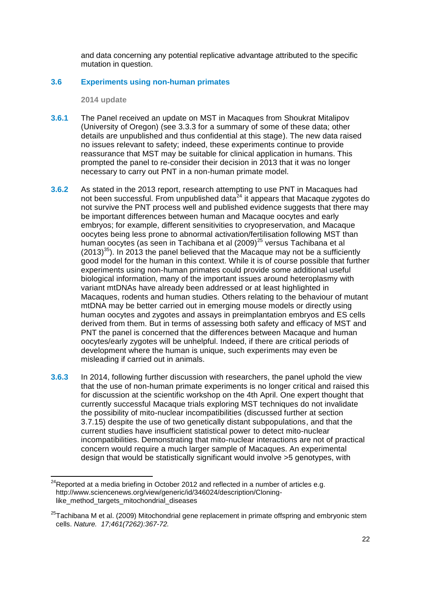and data concerning any potential replicative advantage attributed to the specific mutation in question.

#### **3.6 Experiments using non-human primates**

**2014 update**

 $\overline{\phantom{a}}$ 

- **3.6.1** The Panel received an update on MST in Macaques from Shoukrat Mitalipov (University of Oregon) (see 3.3.3 for a summary of some of these data; other details are unpublished and thus confidential at this stage). The new data raised no issues relevant to safety; indeed, these experiments continue to provide reassurance that MST may be suitable for clinical application in humans. This prompted the panel to re-consider their decision in 2013 that it was no longer necessary to carry out PNT in a non-human primate model.
- **3.6.2** As stated in the 2013 report, research attempting to use PNT in Macaques had not been successful. From unpublished data $^{24}$  it appears that Macaque zygotes do not survive the PNT process well and published evidence suggests that there may be important differences between human and Macaque oocytes and early embryos; for example, different sensitivities to cryopreservation, and Macaque oocytes being less prone to abnormal activation/fertilisation following MST than human oocytes (as seen in Tachibana et al (2009)<sup>25</sup> versus Tachibana et al  $(2013)^{35}$  $(2013)^{35}$  $(2013)^{35}$ ). In 2013 the panel believed that the Macaque may not be a sufficiently good model for the human in this context. While it is of course possible that further experiments using non-human primates could provide some additional useful biological information, many of the important issues around heteroplasmy with variant mtDNAs have already been addressed or at least highlighted in Macaques, rodents and human studies. Others relating to the behaviour of mutant mtDNA may be better carried out in emerging mouse models or directly using human oocytes and zygotes and assays in preimplantation embryos and ES cells derived from them. But in terms of assessing both safety and efficacy of MST and PNT the panel is concerned that the differences between Macaque and human oocytes/early zygotes will be unhelpful. Indeed, if there are critical periods of development where the human is unique, such experiments may even be misleading if carried out in animals.
- **3.6.3** In 2014, following further discussion with researchers, the panel uphold the view that the use of non-human primate experiments is no longer critical and raised this for discussion at the scientific workshop on the 4th April. One expert thought that currently successful Macaque trials exploring MST techniques do not invalidate the possibility of mito-nuclear incompatibilities (discussed further at section 3.7.15) despite the use of two genetically distant subpopulations, and that the current studies have insufficient statistical power to detect mito-nuclear incompatibilities. Demonstrating that mito-nuclear interactions are not of practical concern would require a much larger sample of Macaques. An experimental design that would be statistically significant would involve >5 genotypes, with

 $^{24}$ Reported at a media briefing in October 2012 and reflected in a number of articles e.g. [http://www.sciencenews.org/view/generic/id/346024/description/Cloning](http://www.sciencenews.org/view/generic/id/346024/description/Cloning-like_method_targets_mitochondrial_diseases)[like\\_method\\_targets\\_mitochondrial\\_diseases](http://www.sciencenews.org/view/generic/id/346024/description/Cloning-like_method_targets_mitochondrial_diseases)

 $25$ Tachibana M et al. (2009) Mitochondrial gene replacement in primate offspring and embryonic stem cells. *Nature. 17;461(7262):367-72.*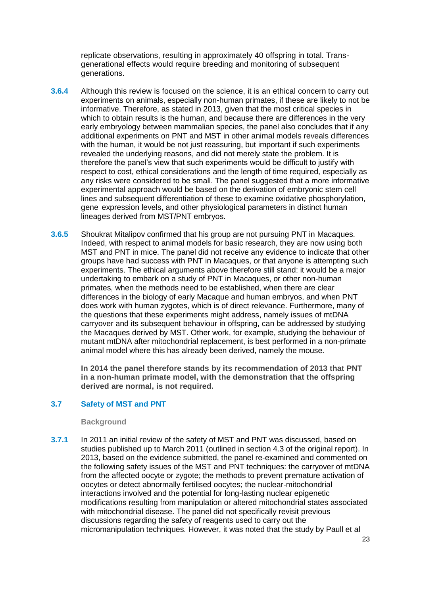replicate observations, resulting in approximately 40 offspring in total. Transgenerational effects would require breeding and monitoring of subsequent generations.

- **3.6.4** Although this review is focused on the science, it is an ethical concern to carry out experiments on animals, especially non-human primates, if these are likely to not be informative. Therefore, as stated in 2013, given that the most critical species in which to obtain results is the human, and because there are differences in the very early embryology between mammalian species, the panel also concludes that if any additional experiments on PNT and MST in other animal models reveals differences with the human, it would be not just reassuring, but important if such experiments revealed the underlying reasons, and did not merely state the problem. It is therefore the panel's view that such experiments would be difficult to justify with respect to cost, ethical considerations and the length of time required, especially as any risks were considered to be small. The panel suggested that a more informative experimental approach would be based on the derivation of embryonic stem cell lines and subsequent differentiation of these to examine oxidative phosphorylation, gene expression levels, and other physiological parameters in distinct human lineages derived from MST/PNT embryos.
- **3.6.5** Shoukrat Mitalipov confirmed that his group are not pursuing PNT in Macaques. Indeed, with respect to animal models for basic research, they are now using both MST and PNT in mice. The panel did not receive any evidence to indicate that other groups have had success with PNT in Macaques, or that anyone is attempting such experiments. The ethical arguments above therefore still stand: it would be a major undertaking to embark on a study of PNT in Macaques, or other non-human primates, when the methods need to be established, when there are clear differences in the biology of early Macaque and human embryos, and when PNT does work with human zygotes, which is of direct relevance. Furthermore, many of the questions that these experiments might address, namely issues of mtDNA carryover and its subsequent behaviour in offspring, can be addressed by studying the Macaques derived by MST. Other work, for example, studying the behaviour of mutant mtDNA after mitochondrial replacement, is best performed in a non-primate animal model where this has already been derived, namely the mouse.

**In 2014 the panel therefore stands by its recommendation of 2013 that PNT in a non-human primate model, with the demonstration that the offspring derived are normal, is not required.**

#### **3.7 Safety of MST and PNT**

#### **Background**

**3.7.1** In 2011 an initial review of the safety of MST and PNT was discussed, based on studies published up to March 2011 (outlined in section 4.3 of the original report). In 2013, based on the evidence submitted, the panel re-examined and commented on the following safety issues of the MST and PNT techniques: the carryover of mtDNA from the affected oocyte or zygote; the methods to prevent premature activation of oocytes or detect abnormally fertilised oocytes; the nuclear-mitochondrial interactions involved and the potential for long-lasting nuclear epigenetic modifications resulting from manipulation or altered mitochondrial states associated with mitochondrial disease. The panel did not specifically revisit previous discussions regarding the safety of reagents used to carry out the micromanipulation techniques. However, it was noted that the study by Paull et al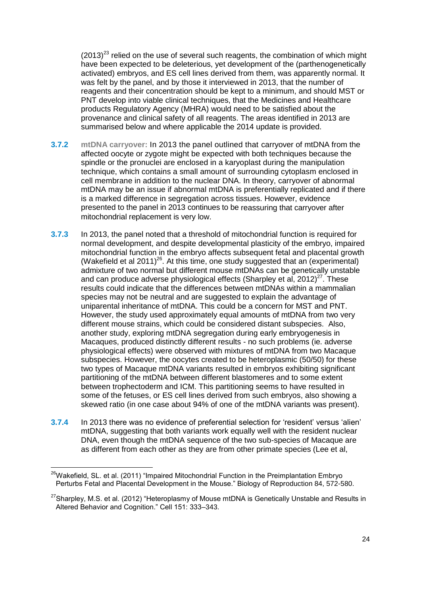$(2013)^{23}$  relied on the use of several such reagents, the combination of which might have been expected to be deleterious, yet development of the (parthenogenetically activated) embryos, and ES cell lines derived from them, was apparently normal. It was felt by the panel, and by those it interviewed in 2013, that the number of reagents and their concentration should be kept to a minimum, and should MST or PNT develop into viable clinical techniques, that the [Medicines and Healthcare](http://www.mhra.gov.uk/)  [products Regulatory Agency](http://www.mhra.gov.uk/) (MHRA) would need to be satisfied about the provenance and clinical safety of all reagents. The areas identified in 2013 are summarised below and where applicable the 2014 update is provided.

- **3.7.2 mtDNA carryover:** In 2013 the panel outlined that carryover of mtDNA from the affected oocyte or zygote might be expected with both techniques because the spindle or the pronuclei are enclosed in a karyoplast during the manipulation technique, which contains a small amount of surrounding cytoplasm enclosed in cell membrane in addition to the nuclear DNA. In theory, carryover of abnormal mtDNA may be an issue if abnormal mtDNA is preferentially replicated and if there is a marked difference in segregation across tissues. However, evidence presented to the panel in 2013 continues to be reassuring that carryover after mitochondrial replacement is very low.
- <span id="page-23-0"></span>**3.7.3** In 2013, the panel noted that a threshold of mitochondrial function is required for normal development, and despite developmental plasticity of the embryo, impaired mitochondrial function in the embryo affects subsequent fetal and placental growth (Wakefield et al 2011)<sup>26</sup>. At this time, one study suggested that an (experimental) admixture of two normal but different mouse mtDNAs can be genetically unstable and can produce adverse physiological effects (Sharpley et al,  $2012$ )<sup>27</sup>. These results could indicate that the differences between mtDNAs within a mammalian species may not be neutral and are suggested to explain the advantage of uniparental inheritance of mtDNA. This could be a concern for MST and PNT. However, the study used approximately equal amounts of mtDNA from two very different mouse strains, which could be considered distant subspecies. Also, another study, exploring mtDNA segregation during early embryogenesis in Macaques, produced distinctly different results - no such problems (ie. adverse physiological effects) were observed with mixtures of mtDNA from two Macaque subspecies. However, the oocytes created to be heteroplasmic (50/50) for these two types of Macaque mtDNA variants resulted in embryos exhibiting significant partitioning of the mtDNA between different blastomeres and to some extent between trophectoderm and ICM. This partitioning seems to have resulted in some of the fetuses, or ES cell lines derived from such embryos, also showing a skewed ratio (in one case about 94% of one of the mtDNA variants was present).
- **3.7.4** In 2013 there was no evidence of preferential selection for 'resident' versus 'alien' mtDNA, suggesting that both variants work equally well with the resident nuclear DNA, even though the mtDNA sequence of the two sub-species of Macaque are as different from each other as they are from other primate species (Lee et al,

**<sup>.</sup>**  $26$ Wakefield, SL. et al. (2011) "Impaired Mitochondrial Function in the Preimplantation Embryo Perturbs Fetal and Placental Development in the Mouse." Biology of Reproduction 84, 572-580.

 $^{27}$ Sharpley, M.S. et al. (2012) "Heteroplasmy of Mouse mtDNA is Genetically Unstable and Results in Altered Behavior and Cognition." Cell 151: 333–343.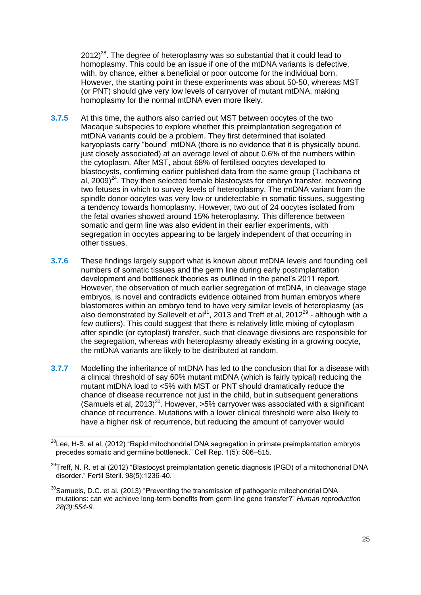$2012$ <sup>28</sup>. The degree of heteroplasmy was so substantial that it could lead to homoplasmy. This could be an issue if one of the mtDNA variants is defective, with, by chance, either a beneficial or poor outcome for the individual born. However, the starting point in these experiments was about 50-50, whereas MST (or PNT) should give very low levels of carryover of mutant mtDNA, making homoplasmy for the normal mtDNA even more likely.

- **3.7.5** At this time, the authors also carried out MST between oocytes of the two Macaque subspecies to explore whether this preimplantation segregation of mtDNA variants could be a problem. They first determined that isolated karyoplasts carry "bound" mtDNA (there is no evidence that it is physically bound, just closely associated) at an average level of about 0.6% of the numbers within the cytoplasm. After MST, about 68% of fertilised oocytes developed to blastocysts, confirming earlier published data from the same group (Tachibana et al,  $2009)^{24}$ . They then selected female blastocysts for embryo transfer, recovering two fetuses in which to survey levels of heteroplasmy. The mtDNA variant from the spindle donor oocytes was very low or undetectable in somatic tissues, suggesting a tendency towards homoplasmy. However, two out of 24 oocytes isolated from the fetal ovaries showed around 15% heteroplasmy. This difference between somatic and germ line was also evident in their earlier experiments, with segregation in oocytes appearing to be largely independent of that occurring in other tissues.
- **3.7.6** These findings largely support what is known about mtDNA levels and founding cell numbers of somatic tissues and the germ line during early postimplantation development and bottleneck theories as outlined in the panel's 2011 report. However, the observation of much earlier segregation of mtDNA, in cleavage stage embryos, is novel and contradicts evidence obtained from human embryos where blastomeres within an embryo tend to have very similar levels of heteroplasmy (as also demonstrated by Sallevelt et al<sup>11</sup>, 2013 and Treff et al, 2012<sup>29</sup> - although with a few outliers). This could suggest that there is relatively little mixing of cytoplasm after spindle (or cytoplast) transfer, such that cleavage divisions are responsible for the segregation, whereas with heteroplasmy already existing in a growing oocyte, the mtDNA variants are likely to be distributed at random.
- **3.7.7** Modelling the inheritance of mtDNA has led to the conclusion that for a disease with a clinical threshold of say 60% mutant mtDNA (which is fairly typical) reducing the mutant mtDNA load to <5% with MST or PNT should dramatically reduce the chance of disease recurrence not just in the child, but in subsequent generations (Samuels et al, 2013)<sup>30</sup>. However, >5% carryover was associated with a significant chance of recurrence. Mutations with a lower clinical threshold were also likely to have a higher risk of recurrence, but reducing the amount of carryover would

 $\overline{\phantom{a}}$ 

<sup>&</sup>lt;sup>28</sup>Lee. H-S. et al. (2012) "Rapid mitochondrial DNA segregation in primate preimplantation embryos precedes somatic and germline bottleneck." Cell Rep. 1(5): 506–515.

 $^{29}$ Treff, N. R. et al (2012) "Blastocyst preimplantation genetic diagnosis (PGD) of a mitochondrial DNA disorder." Fertil Steril. 98(5):1236-40.

 $30$ Samuels, D.C. et al. (2013) "Preventing the transmission of pathogenic mitochondrial DNA mutations: can we achieve long-term benefits from germ line gene transfer?" *Human reproduction 28(3):554-9.*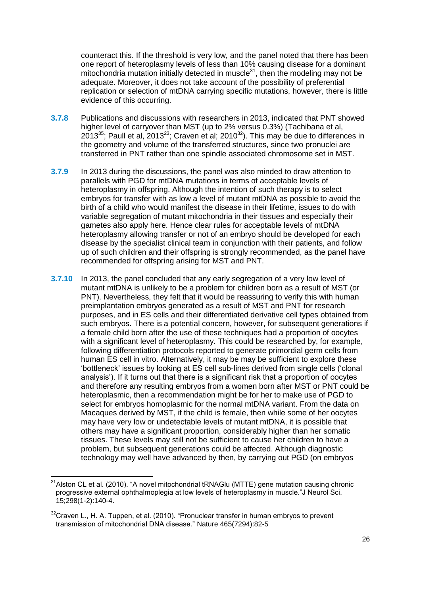counteract this. If the threshold is very low, and the panel noted that there has been one report of heteroplasmy levels of less than 10% causing disease for a dominant mitochondria mutation initially detected in muscle $31$ , then the modeling may not be adequate. Moreover, it does not take account of the possibility of preferential replication or selection of mtDNA carrying specific mutations, however, there is little evidence of this occurring.

- **3.7.8** Publications and discussions with researchers in 2013, indicated that PNT showed higher level of carryover than MST (up to 2% versus 0.3%) (Tachibana et al,  $2013^{35}$  $2013^{35}$  $2013^{35}$ ; Paull et al,  $2013^{23}$ ; Craven et al;  $2010^{32}$ ). This may be due to differences in the geometry and volume of the transferred structures, since two pronuclei are transferred in PNT rather than one spindle associated chromosome set in MST.
- **3.7.9** In 2013 during the discussions, the panel was also minded to draw attention to parallels with PGD for mtDNA mutations in terms of acceptable levels of heteroplasmy in offspring. Although the intention of such therapy is to select embryos for transfer with as low a level of mutant mtDNA as possible to avoid the birth of a child who would manifest the disease in their lifetime, issues to do with variable segregation of mutant mitochondria in their tissues and especially their gametes also apply here. Hence clear rules for acceptable levels of mtDNA heteroplasmy allowing transfer or not of an embryo should be developed for each disease by the specialist clinical team in conjunction with their patients, and follow up of such children and their offspring is strongly recommended, as the panel have recommended for offspring arising for MST and PNT.
- **3.7.10** In 2013, the panel concluded that any early segregation of a very low level of mutant mtDNA is unlikely to be a problem for children born as a result of MST (or PNT). Nevertheless, they felt that it would be reassuring to verify this with human preimplantation embryos generated as a result of MST and PNT for research purposes, and in ES cells and their differentiated derivative cell types obtained from such embryos. There is a potential concern, however, for subsequent generations if a female child born after the use of these techniques had a proportion of oocytes with a significant level of heteroplasmy. This could be researched by, for example, following differentiation protocols reported to generate primordial germ cells from human ES cell in vitro. Alternatively, it may be may be sufficient to explore these 'bottleneck' issues by looking at ES cell sub-lines derived from single cells ('clonal analysis'). If it turns out that there is a significant risk that a proportion of oocytes and therefore any resulting embryos from a women born after MST or PNT could be heteroplasmic, then a recommendation might be for her to make use of PGD to select for embryos homoplasmic for the normal mtDNA variant. From the data on Macaques derived by MST, if the child is female, then while some of her oocytes may have very low or undetectable levels of mutant mtDNA, it is possible that others may have a significant proportion, considerably higher than her somatic tissues. These levels may still not be sufficient to cause her children to have a problem, but subsequent generations could be affected. Although diagnostic technology may well have advanced by then, by carrying out PGD (on embryos

 $\overline{\phantom{a}}$ 

 $31$ Alston CL et al. (2010). "A novel mitochondrial tRNAGlu (MTTE) gene mutation causing chronic progressive external ophthalmoplegia at low levels of heteroplasmy in muscle."J Neurol Sci.  $15:298(1-2):140-4.$ 

 $32C$ raven L., H. A. Tuppen, et al. (2010). "Pronuclear transfer in human embryos to prevent transmission of mitochondrial DNA disease." Nature 465(7294):82-5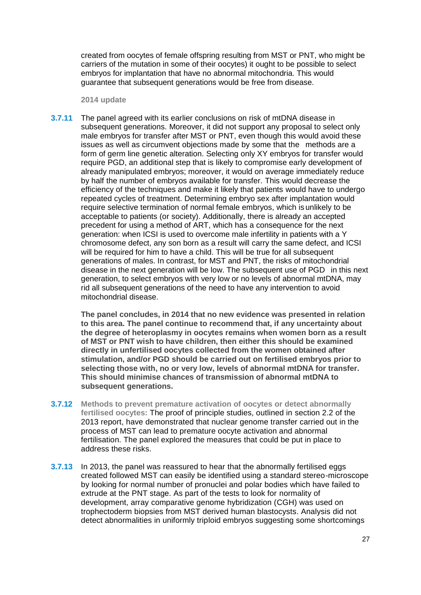created from oocytes of female offspring resulting from MST or PNT, who might be carriers of the mutation in some of their oocytes) it ought to be possible to select embryos for implantation that have no abnormal mitochondria. This would guarantee that subsequent generations would be free from disease.

**2014 update**

**3.7.11** The panel agreed with its earlier conclusions on risk of mtDNA disease in subsequent generations. Moreover, it did not support any proposal to select only male embryos for transfer after MST or PNT, even though this would avoid these issues as well as circumvent objections made by some that the methods are a form of germ line genetic alteration. Selecting only XY embryos for transfer would require PGD, an additional step that is likely to compromise early development of already manipulated embryos; moreover, it would on average immediately reduce by half the number of embryos available for transfer. This would decrease the efficiency of the techniques and make it likely that patients would have to undergo repeated cycles of treatment. Determining embryo sex after implantation would require selective termination of normal female embryos, which is unlikely to be acceptable to patients (or society). Additionally, there is already an accepted precedent for using a method of ART, which has a consequence for the next generation: when ICSI is used to overcome male infertility in patients with a Y chromosome defect, any son born as a result will carry the same defect, and ICSI will be required for him to have a child. This will be true for all subsequent generations of males. In contrast, for MST and PNT, the risks of mitochondrial disease in the next generation will be low. The subsequent use of PGD in this next generation, to select embryos with very low or no levels of abnormal mtDNA, may rid all subsequent generations of the need to have any intervention to avoid mitochondrial disease.

**The panel concludes, in 2014 that no new evidence was presented in relation to this area. The panel continue to recommend that, if any uncertainty about the degree of heteroplasmy in oocytes remains when women born as a result of MST or PNT wish to have children, then either this should be examined directly in unfertilised oocytes collected from the women obtained after stimulation, and/or PGD should be carried out on fertilised embryos prior to selecting those with, no or very low, levels of abnormal mtDNA for transfer. This should minimise chances of transmission of abnormal mtDNA to subsequent generations.**

- **3.7.12 Methods to prevent premature activation of oocytes or detect abnormally fertilised oocytes:** The proof of principle studies, outlined in section 2.2 of the 2013 report, have demonstrated that nuclear genome transfer carried out in the process of MST can lead to premature oocyte activation and abnormal fertilisation. The panel explored the measures that could be put in place to address these risks.
- **3.7.13** In 2013, the panel was reassured to hear that the abnormally fertilised eggs created followed MST can easily be identified using a standard stereo-microscope by looking for normal number of pronuclei and polar bodies which have failed to extrude at the PNT stage. As part of the tests to look for normality of development, array comparative genome hybridization (CGH) was used on trophectoderm biopsies from MST derived human blastocysts. Analysis did not detect abnormalities in uniformly triploid embryos suggesting some shortcomings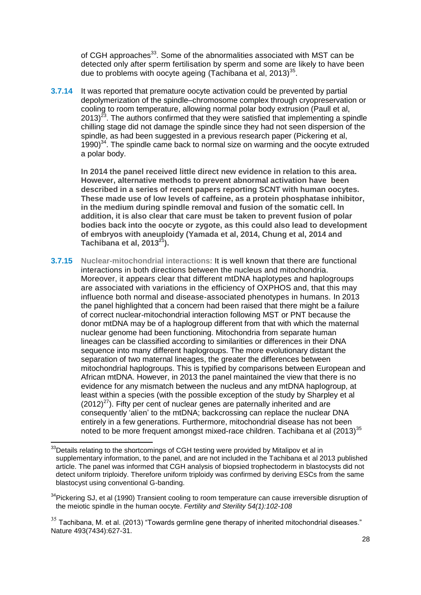of CGH approaches<sup>33</sup>. Some of the abnormalities associated with MST can be detected only after sperm fertilisation by sperm and some are likely to have been due to problems with oocyte ageing (Tachibana et al, 2013)<sup>[35](#page-27-0)</sup>.

**3.7.14** It was reported that premature oocyte activation could be prevented by partial depolymerization of the spindle–chromosome complex through cryopreservation or cooling to room temperature, allowing normal polar body extrusion (Paull et al, 2013) $^{23}$  $^{23}$  $^{23}$ . The authors confirmed that they were satisfied that implementing a spindle chilling stage did not damage the spindle since they had not seen dispersion of the spindle, as had been suggested in a previous research paper (Pickering et al, 1990)<sup>34</sup>. The spindle came back to normal size on warming and the oocyte extruded a polar body.

**In 2014 the panel received little direct new evidence in relation to this area. However, alternative methods to prevent abnormal activation have been described in a series of recent papers reporting SCNT with human oocytes. These made use of low levels of caffeine, as a protein phosphatase inhibitor, in the medium during spindle removal and fusion of the somatic cell. In addition, it is also clear that care must be taken to prevent fusion of polar bodies back into the oocyte or zygote, as this could also lead to development of embryos with aneuploidy (Yamada et al, 2014, Chung et al, 2014 and Tachibana et al, 2013<sup>21</sup>).**

**3.7.15 Nuclear-mitochondrial interactions:** It is well known that there are functional interactions in both directions between the nucleus and mitochondria. Moreover, it appears clear that different mtDNA haplotypes and haplogroups are associated with variations in the efficiency of OXPHOS and, that this may influence both normal and disease-associated phenotypes in humans. In 2013 the panel highlighted that a concern had been raised that there might be a failure of correct nuclear-mitochondrial interaction following MST or PNT because the donor mtDNA may be of a haplogroup different from that with which the maternal nuclear genome had been functioning. Mitochondria from separate human lineages can be classified according to similarities or differences in their DNA sequence into many different haplogroups. The more evolutionary distant the separation of two maternal lineages, the greater the differences between mitochondrial haplogroups. This is typified by comparisons between European and African mtDNA. However, in 2013 the panel maintained the view that there is no evidence for any mismatch between the nucleus and any mtDNA haplogroup, at least within a species (with the possible exception of the study by Sharpley et al  $(2012)^{27}$  $(2012)^{27}$  $(2012)^{27}$ ). Fifty per cent of nuclear genes are paternally inherited and are consequently 'alien' to the mtDNA; backcrossing can replace the nuclear DNA entirely in a few generations. Furthermore, mitochondrial disease has not been noted to be more frequent amongst mixed-race children. Tachibana et al  $(2013)^{35}$ 

<span id="page-27-0"></span>**.** 

 $33$ Details relating to the shortcomings of CGH testing were provided by Mitalipov et al in supplementary information, to the panel, and are not included in the Tachibana et al 2013 published article. The panel was informed that CGH analysis of biopsied trophectoderm in blastocysts did not detect uniform triploidy. Therefore uniform triploidy was confirmed by deriving ESCs from the same blastocyst using conventional G-banding.

<sup>&</sup>lt;sup>34</sup>[Pickering SJ,](http://europepmc.org/search/?page=1&query=AUTH:%22Pickering+SJ%22) et al (1990) Transient cooling to room temperature can cause irreversible disruption of the meiotic spindle in the human oocyte. *[Fertility and Sterility](http://europepmc.org/search/?page=1&query=ISSN:%220015-0282%22) 54(1):102-108*

 $35$  Tachibana, M. et al. (2013) "Towards germline gene therapy of inherited mitochondrial diseases." Nature 493(7434):627-31.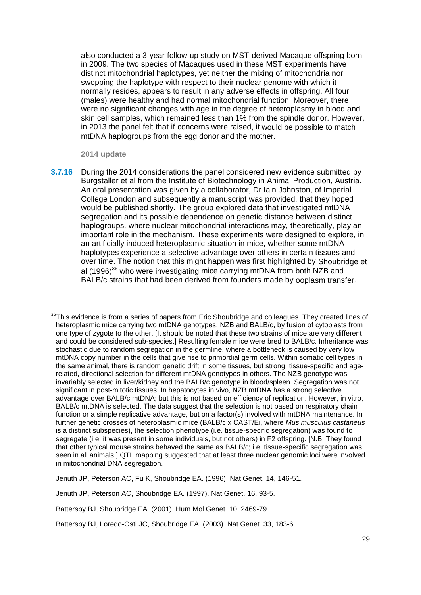also conducted a 3-year follow-up study on MST-derived Macaque offspring born in 2009. The two species of Macaques used in these MST experiments have distinct mitochondrial haplotypes, yet neither the mixing of mitochondria nor swopping the haplotype with respect to their nuclear genome with which it normally resides, appears to result in any adverse effects in offspring. All four (males) were healthy and had normal mitochondrial function. Moreover, there were no significant changes with age in the degree of heteroplasmy in blood and skin cell samples, which remained less than 1% from the spindle donor. However, in 2013 the panel felt that if concerns were raised, it would be possible to match mtDNA haplogroups from the egg donor and the mother.

#### **2014 update**

**.** 

**3.7.16** During the 2014 considerations the panel considered new evidence submitted by Burgstaller et al from the Institute of Biotechnology in Animal Production, Austria. An oral presentation was given by a collaborator, Dr Iain Johnston, of Imperial College London and subsequently a manuscript was provided, that they hoped would be published shortly. The group explored data that investigated mtDNA segregation and its possible dependence on genetic distance between distinct haplogroups, where nuclear mitochondrial interactions may, theoretically, play an important role in the mechanism. These experiments were designed to explore, in an artificially induced heteroplasmic situation in mice, whether some mtDNA haplotypes experience a selective advantage over others in certain tissues and over time. The notion that this might happen was first highlighted by Shoubridge et al (1996)<sup>36</sup> who were investigating mice carrying mtDNA from both NZB and BALB/c strains that had been derived from founders made by ooplasm transfer.

<sup>36</sup>This evidence is from a series of papers from Eric Shoubridge and colleagues. They created lines of heteroplasmic mice carrying two mtDNA genotypes, NZB and BALB/c, by fusion of cytoplasts from one type of zygote to the other. [It should be noted that these two strains of mice are very different and could be considered sub-species.] Resulting female mice were bred to BALB/c. Inheritance was stochastic due to random segregation in the germline, where a bottleneck is caused by very low mtDNA copy number in the cells that give rise to primordial germ cells. Within somatic cell types in the same animal, there is random genetic drift in some tissues, but strong, tissue-specific and agerelated, directional selection for different mtDNA genotypes in others. The NZB genotype was invariably selected in liver/kidney and the BALB/c genotype in blood/spleen. Segregation was not significant in post-mitotic tissues. In hepatocytes in vivo, NZB mtDNA has a strong selective advantage over BALB/c mtDNA; but this is not based on efficiency of replication. However, in vitro, BALB/c mtDNA is selected. The data suggest that the selection is not based on respiratory chain function or a simple replicative advantage, but on a factor(s) involved with mtDNA maintenance. In further genetic crosses of heteroplasmic mice (BALB/c x CAST/Ei, where *Mus musculus castaneus* is a distinct subspecies), the selection phenotype (i.e. tissue-specific segregation) was found to segregate (i.e. it was present in some individuals, but not others) in F2 offspring. [N.B. They found that other typical mouse strains behaved the same as BALB/c; i.e. tissue-specific segregation was seen in all animals.] QTL mapping suggested that at least three nuclear genomic loci were involved in mitochondrial DNA segregation.

Jenuth JP, Peterson AC, Fu K, Shoubridge EA. (1996). Nat Genet. 14, 146-51.

[Jenuth JP,](http://www.ncbi.nlm.nih.gov/pubmed?term=Jenuth%20JP%5BAuthor%5D&cauthor=true&cauthor_uid=9140402) [Peterson AC,](http://www.ncbi.nlm.nih.gov/pubmed?term=Peterson%20AC%5BAuthor%5D&cauthor=true&cauthor_uid=9140402) [Shoubridge EA.](http://www.ncbi.nlm.nih.gov/pubmed?term=Shoubridge%20EA%5BAuthor%5D&cauthor=true&cauthor_uid=9140402) (1997). [Nat Genet.](http://www.ncbi.nlm.nih.gov/pubmed/9140402) 16, 93-5.

[Battersby BJ,](http://www.ncbi.nlm.nih.gov/pubmed?term=Battersby%20BJ%5BAuthor%5D&cauthor=true&cauthor_uid=11709534) [Shoubridge EA.](http://www.ncbi.nlm.nih.gov/pubmed?term=Shoubridge%20EA%5BAuthor%5D&cauthor=true&cauthor_uid=11709534) (2001). [Hum Mol Genet.](http://www.ncbi.nlm.nih.gov/pubmed/11709534) 10, 2469-79.

[Battersby BJ,](http://www.ncbi.nlm.nih.gov/pubmed?term=Battersby%20BJ%5BAuthor%5D&cauthor=true&cauthor_uid=12539044) [Loredo-Osti JC,](http://www.ncbi.nlm.nih.gov/pubmed?term=Loredo-Osti%20JC%5BAuthor%5D&cauthor=true&cauthor_uid=12539044) [Shoubridge EA.](http://www.ncbi.nlm.nih.gov/pubmed?term=Shoubridge%20EA%5BAuthor%5D&cauthor=true&cauthor_uid=12539044) (2003). [Nat Genet.](http://www.ncbi.nlm.nih.gov/pubmed/12539044) 33, 183-6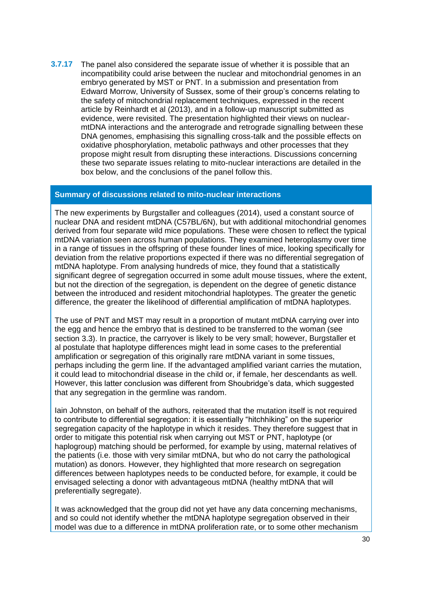**3.7.17** The panel also considered the separate issue of whether it is possible that an incompatibility could arise between the nuclear and mitochondrial genomes in an embryo generated by MST or PNT. In a submission and presentation from Edward Morrow, University of Sussex, some of their group's concerns relating to the safety of mitochondrial replacement techniques, expressed in the recent article by Reinhardt et al (2013), and in a follow-up manuscript submitted as evidence, were revisited. The presentation highlighted their views on nuclearmtDNA interactions and the anterograde and retrograde signalling between these DNA genomes, emphasising this signalling cross-talk and the possible effects on oxidative phosphorylation, metabolic pathways and other processes that they propose might result from disrupting these interactions. Discussions concerning these two separate issues relating to mito-nuclear interactions are detailed in the box below, and the conclusions of the panel follow this.

#### **Summary of discussions related to mito-nuclear interactions**

The new experiments by Burgstaller and colleagues (2014), used a constant source of nuclear DNA and resident mtDNA (C57BL/6N), but with additional mitochondrial genomes derived from four separate wild mice populations. These were chosen to reflect the typical mtDNA variation seen across human populations. They examined heteroplasmy over time in a range of tissues in the offspring of these founder lines of mice, looking specifically for deviation from the relative proportions expected if there was no differential segregation of mtDNA haplotype. From analysing hundreds of mice, they found that a statistically significant degree of segregation occurred in some adult mouse tissues, where the extent, but not the direction of the segregation, is dependent on the degree of genetic distance between the introduced and resident mitochondrial haplotypes. The greater the genetic difference, the greater the likelihood of differential amplification of mtDNA haplotypes.

The use of PNT and MST may result in a proportion of mutant mtDNA carrying over into the egg and hence the embryo that is destined to be transferred to the woman (see section 3.3). In practice, the carryover is likely to be very small; however, Burgstaller et al postulate that haplotype differences might lead in some cases to the preferential amplification or segregation of this originally rare mtDNA variant in some tissues, perhaps including the germ line. If the advantaged amplified variant carries the mutation, it could lead to mitochondrial disease in the child or, if female, her descendants as well. However, this latter conclusion was different from Shoubridge's data, which suggested that any segregation in the germline was random.

Iain Johnston, on behalf of the authors, reiterated that the mutation itself is not required to contribute to differential segregation: it is essentially "hitchhiking" on the superior segregation capacity of the haplotype in which it resides. They therefore suggest that in order to mitigate this potential risk when carrying out MST or PNT, haplotype (or haplogroup) matching should be performed, for example by using, maternal relatives of the patients (i.e. those with very similar mtDNA, but who do not carry the pathological mutation) as donors. However, they highlighted that more research on segregation differences between haplotypes needs to be conducted before, for example, it could be envisaged selecting a donor with advantageous mtDNA (healthy mtDNA that will preferentially segregate).

It was acknowledged that the group did not yet have any data concerning mechanisms, and so could not identify whether the mtDNA haplotype segregation observed in their model was due to a difference in mtDNA proliferation rate, or to some other mechanism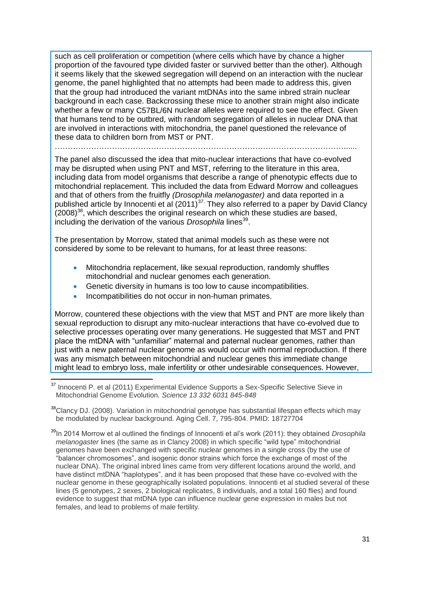such as cell proliferation or competition (where cells which have by chance a higher proportion of the favoured type divided faster or survived better than the other). Although it seems likely that the skewed segregation will depend on an interaction with the nuclear genome, the panel highlighted that no attempts had been made to address this, given that the group had introduced the variant mtDNAs into the same inbred strain nuclear background in each case. Backcrossing these mice to another strain might also indicate whether a few or many C57BL/6N nuclear alleles were required to see the effect. Given that humans tend to be outbred, with random segregation of alleles in nuclear DNA that are involved in interactions with mitochondria, the panel questioned the relevance of these data to children born from MST or PNT.

…………………………………………………………………………………………………......

The panel also discussed the idea that mito-nuclear interactions that have co-evolved may be disrupted when using PNT and MST, referring to the literature in this area, including data from model organisms that describe a range of phenotypic effects due to mitochondrial replacement. This included the data from Edward Morrow and colleagues and that of others from the fruitfly *(Drosophila melanogaster)* and data reported in a published article by Innocenti et al  $(2011)^{37}$ . They also referred to a paper by David Clancy  $(2008)^{38}$ , which describes the original research on which these studies are based. including the derivation of the various *Drosophila* lines<sup>39</sup>.

The presentation by Morrow, stated that animal models such as these were not considered by some to be relevant to humans, for at least three reasons:

- Mitochondria replacement, like sexual reproduction, randomly shuffles mitochondrial and nuclear genomes each generation.
- Genetic diversity in humans is too low to cause incompatibilities.
- Incompatibilities do not occur in non-human primates.

 $\overline{\phantom{a}}$ 

Morrow, countered these objections with the view that MST and PNT are more likely than sexual reproduction to disrupt any mito-nuclear interactions that have co-evolved due to selective processes operating over many generations. He suggested that MST and PNT place the mtDNA with "unfamiliar" maternal and paternal nuclear genomes, rather than just with a new paternal nuclear genome as would occur with normal reproduction. If there was any mismatch between mitochondrial and nuclear genes this immediate change might lead to embryo loss, male infertility or other undesirable consequences. However,

<sup>38</sup>Clancy DJ. (2008). Variation in mitochondrial genotype has substantial lifespan effects which may be modulated by nuclear background. Aging Cell. 7, 795-804. PMID: 18727704

<sup>39</sup>In 2014 Morrow et al outlined the findings of Innocenti et al's work (2011): they obtained *Drosophila melanogaster* lines (the same as in Clancy 2008) in which specific "wild type" mitochondrial genomes have been exchanged with specific nuclear genomes in a single cross (by the use of "balancer chromosomes", and isogenic donor strains which force the exchange of most of the nuclear DNA). The original inbred lines came from very different locations around the world, and have distinct mtDNA "haplotypes", and it has been proposed that these have co-evolved with the nuclear genome in these geographically isolated populations. Innocenti et al studied several of these lines (5 genotypes, 2 sexes, 2 biological replicates, 8 individuals, and a total 160 flies) and found evidence to suggest that mtDNA type can influence nuclear gene expression in males but not females, and lead to problems of male fertility.

<sup>&</sup>lt;sup>37</sup> [Innocenti](http://www.sciencemag.org/search?author1=Paolo+Innocenti&sortspec=date&submit=Submit) P. et al (2011) Experimental Evidence Supports a Sex-Specific Selective Sieve in Mitochondrial Genome Evolution. *Science 13 332 6031 845-848*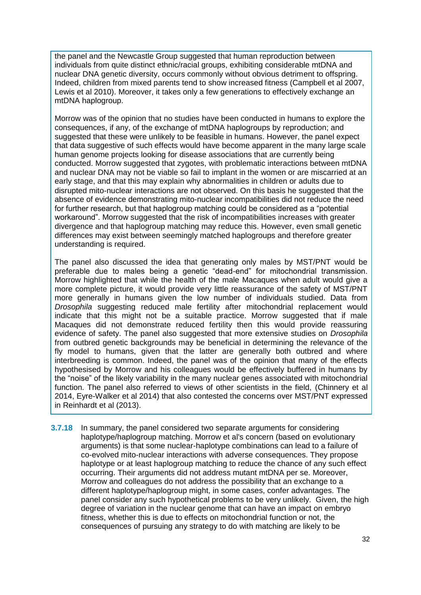the panel and the Newcastle Group suggested that human reproduction between individuals from quite distinct ethnic/racial groups, exhibiting considerable mtDNA and nuclear DNA genetic diversity, occurs commonly without obvious detriment to offspring. Indeed, children from mixed parents tend to show increased fitness (Campbell et al 2007, Lewis et al 2010). Moreover, it takes only a few generations to effectively exchange an mtDNA haplogroup.

Morrow was of the opinion that no studies have been conducted in humans to explore the consequences, if any, of the exchange of mtDNA haplogroups by reproduction; and suggested that these were unlikely to be feasible in humans. However, the panel expect that data suggestive of such effects would have become apparent in the many large scale human genome projects looking for disease associations that are currently being conducted. Morrow suggested that zygotes, with problematic interactions between mtDNA and nuclear DNA may not be viable so fail to implant in the women or are miscarried at an early stage, and that this may explain why abnormalities in children or adults due to disrupted mito-nuclear interactions are not observed. On this basis he suggested that the absence of evidence demonstrating mito-nuclear incompatibilities did not reduce the need for further research, but that haplogroup matching could be considered as a "potential workaround". Morrow suggested that the risk of incompatibilities increases with greater divergence and that haplogroup matching may reduce this. However, even small genetic differences may exist between seemingly matched haplogroups and therefore greater understanding is required.

The panel also discussed the idea that generating only males by MST/PNT would be preferable due to males being a genetic "dead-end" for mitochondrial transmission. Morrow highlighted that while the health of the male Macaques when adult would give a more complete picture, it would provide very little reassurance of the safety of MST/PNT more generally in humans given the low number of individuals studied. Data from *Drosophila* suggesting reduced male fertility after mitochondrial replacement would indicate that this might not be a suitable practice. Morrow suggested that if male Macaques did not demonstrate reduced fertility then this would provide reassuring evidence of safety. The panel also suggested that more extensive studies on *Drosophila* from outbred genetic backgrounds may be beneficial in determining the relevance of the fly model to humans, given that the latter are generally both outbred and where interbreeding is common. Indeed, the panel was of the opinion that many of the effects hypothesised by Morrow and his colleagues would be effectively buffered in humans by the "noise" of the likely variability in the many nuclear genes associated with mitochondrial function. The panel also referred to views of other scientists in the field, (Chinnery et al 2014, Eyre-Walker et al 2014) that also contested the concerns over MST/PNT expressed in Reinhardt et al (2013).

**3.7.18** In summary, the panel considered two separate arguments for considering haplotype/haplogroup matching. Morrow et al's concern (based on evolutionary arguments) is that some nuclear-haplotype combinations can lead to a failure of co-evolved mito-nuclear interactions with adverse consequences. They propose haplotype or at least haplogroup matching to reduce the chance of any such effect occurring. Their arguments did not address mutant mtDNA per se. Moreover, Morrow and colleagues do not address the possibility that an exchange to a different haplotype/haplogroup might, in some cases, confer advantages. The panel consider any such hypothetical problems to be very unlikely. Given, the high degree of variation in the nuclear genome that can have an impact on embryo fitness, whether this is due to effects on mitochondrial function or not, the consequences of pursuing any strategy to do with matching are likely to be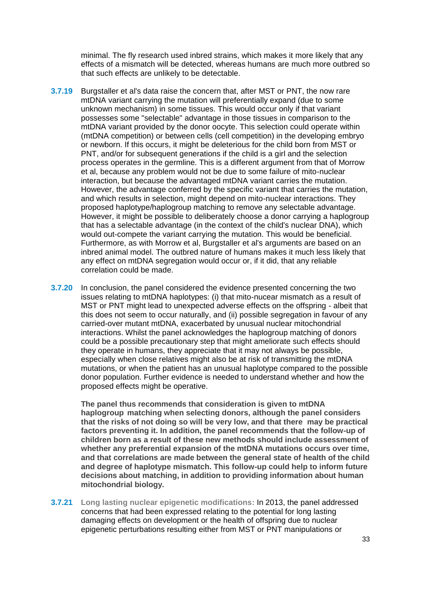minimal. The fly research used inbred strains, which makes it more likely that any effects of a mismatch will be detected, whereas humans are much more outbred so that such effects are unlikely to be detectable.

- **3.7.19** Burgstaller et al's data raise the concern that, after MST or PNT, the now rare mtDNA variant carrying the mutation will preferentially expand (due to some unknown mechanism) in some tissues. This would occur only if that variant possesses some "selectable" advantage in those tissues in comparison to the mtDNA variant provided by the donor oocyte. This selection could operate within (mtDNA competition) or between cells (cell competition) in the developing embryo or newborn. If this occurs, it might be deleterious for the child born from MST or PNT, and/or for subsequent generations if the child is a girl and the selection process operates in the germline. This is a different argument from that of Morrow et al, because any problem would not be due to some failure of mito-nuclear interaction, but because the advantaged mtDNA variant carries the mutation. However, the advantage conferred by the specific variant that carries the mutation, and which results in selection, might depend on mito-nuclear interactions. They proposed haplotype/haplogroup matching to remove any selectable advantage. However, it might be possible to deliberately choose a donor carrying a haplogroup that has a selectable advantage (in the context of the child's nuclear DNA), which would out-compete the variant carrying the mutation. This would be beneficial. Furthermore, as with Morrow et al, Burgstaller et al's arguments are based on an inbred animal model. The outbred nature of humans makes it much less likely that any effect on mtDNA segregation would occur or, if it did, that any reliable correlation could be made.
- **3.7.20** In conclusion, the panel considered the evidence presented concerning the two issues relating to mtDNA haplotypes: (i) that mito-nucear mismatch as a result of MST or PNT might lead to unexpected adverse effects on the offspring - albeit that this does not seem to occur naturally, and (ii) possible segregation in favour of any carried-over mutant mtDNA, exacerbated by unusual nuclear mitochondrial interactions. Whilst the panel acknowledges the haplogroup matching of donors could be a possible precautionary step that might ameliorate such effects should they operate in humans, they appreciate that it may not always be possible, especially when close relatives might also be at risk of transmitting the mtDNA mutations, or when the patient has an unusual haplotype compared to the possible donor population. Further evidence is needed to understand whether and how the proposed effects might be operative.

**The panel thus recommends that consideration is given to mtDNA haplogroup matching when selecting donors, although the panel considers that the risks of not doing so will be very low, and that there may be practical factors preventing it. In addition, the panel recommends that the follow-up of children born as a result of these new methods should include assessment of whether any preferential expansion of the mtDNA mutations occurs over time, and that correlations are made between the general state of health of the child and degree of haplotype mismatch. This follow-up could help to inform future decisions about matching, in addition to providing information about human mitochondrial biology.**

**3.7.21 Long lasting nuclear epigenetic modifications:** In 2013, the panel addressed concerns that had been expressed relating to the potential for long lasting damaging effects on development or the health of offspring due to nuclear epigenetic perturbations resulting either from MST or PNT manipulations or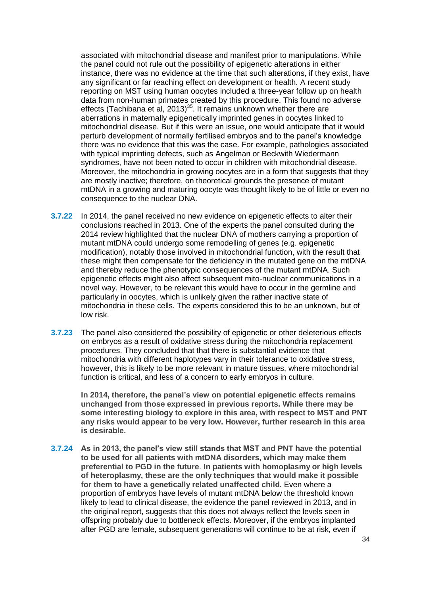associated with mitochondrial disease and manifest prior to manipulations. While the panel could not rule out the possibility of epigenetic alterations in either instance, there was no evidence at the time that such alterations, if they exist, have any significant or far reaching effect on development or health. A recent study reporting on MST using human oocytes included a three-year follow up on health data from non-human primates created by this procedure. This found no adverse effects (Tachibana et al, 2013)<sup>[35](#page-27-0)</sup>. It remains unknown whether there are aberrations in maternally epigenetically imprinted genes in oocytes linked to mitochondrial disease. But if this were an issue, one would anticipate that it would perturb development of normally fertilised embryos and to the panel's knowledge there was no evidence that this was the case. For example, pathologies associated with typical imprinting defects, such as Angelman or Beckwith Wiedermann syndromes, have not been noted to occur in children with mitochondrial disease. Moreover, the mitochondria in growing oocytes are in a form that suggests that they are mostly inactive; therefore, on theoretical grounds the presence of mutant mtDNA in a growing and maturing oocyte was thought likely to be of little or even no consequence to the nuclear DNA.

- **3.7.22** In 2014, the panel received no new evidence on epigenetic effects to alter their conclusions reached in 2013. One of the experts the panel consulted during the 2014 review highlighted that the nuclear DNA of mothers carrying a proportion of mutant mtDNA could undergo some remodelling of genes (e.g. epigenetic modification), notably those involved in mitochondrial function, with the result that these might then compensate for the deficiency in the mutated gene on the mtDNA and thereby reduce the phenotypic consequences of the mutant mtDNA. Such epigenetic effects might also affect subsequent mito-nuclear communications in a novel way. However, to be relevant this would have to occur in the germline and particularly in oocytes, which is unlikely given the rather inactive state of mitochondria in these cells. The experts considered this to be an unknown, but of low risk.
- **3.7.23** The panel also considered the possibility of epigenetic or other deleterious effects on embryos as a result of oxidative stress during the mitochondria replacement procedures. They concluded that that there is substantial evidence that mitochondria with different haplotypes vary in their tolerance to oxidative stress, however, this is likely to be more relevant in mature tissues, where mitochondrial function is critical, and less of a concern to early embryos in culture.

**In 2014, therefore, the panel's view on potential epigenetic effects remains unchanged from those expressed in previous reports. While there may be some interesting biology to explore in this area, with respect to MST and PNT any risks would appear to be very low. However, further research in this area is desirable.**

**3.7.24 As in 2013, the panel's view still stands that MST and PNT have the potential to be used for all patients with mtDNA disorders, which may make them preferential to PGD in the future**. **In patients with homoplasmy or high levels of heteroplasmy, these are the only techniques that would make it possible for them to have a genetically related unaffected child.** Even where a proportion of embryos have levels of mutant mtDNA below the threshold known likely to lead to clinical disease, the evidence the panel reviewed in 2013, and in the original report, suggests that this does not always reflect the levels seen in offspring probably due to bottleneck effects. Moreover, if the embryos implanted after PGD are female, subsequent generations will continue to be at risk, even if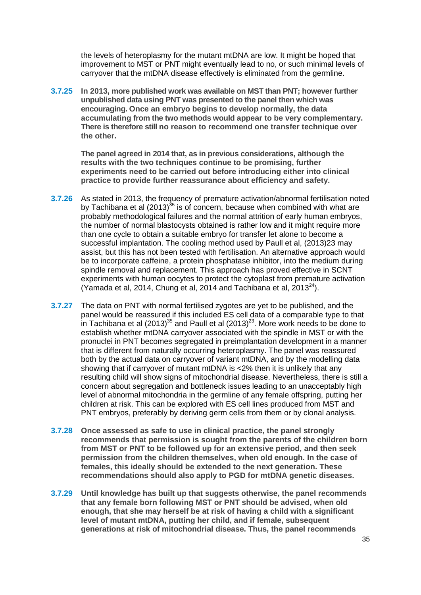the levels of heteroplasmy for the mutant mtDNA are low. It might be hoped that improvement to MST or PNT might eventually lead to no, or such minimal levels of carryover that the mtDNA disease effectively is eliminated from the germline.

**3.7.25 In 2013, more published work was available on MST than PNT; however further unpublished data using PNT was presented to the panel then which was encouraging. Once an embryo begins to develop normally, the data accumulating from the two methods would appear to be very complementary. There is therefore still no reason to recommend one transfer technique over the other.**

**The panel agreed in 2014 that, as in previous considerations, although the results with the two techniques continue to be promising, further experiments need to be carried out before introducing either into clinical practice to provide further reassurance about efficiency and safety.**

- **3.7.26** As stated in 2013, the frequency of premature activation/abnormal fertilisation noted by Tachibana et al  $(2013)^{35}$  $(2013)^{35}$  $(2013)^{35}$  is of concern, because when combined with what are probably methodological failures and the normal attrition of early human embryos, the number of normal blastocysts obtained is rather low and it might require more than one cycle to obtain a suitable embryo for transfer let alone to become a successful implantation. The cooling method used by Paull et al, (2013[\)23](#page-18-0) may assist, but this has not been tested with fertilisation. An alternative approach would be to incorporate caffeine, a protein phosphatase inhibitor, into the medium during spindle removal and replacement. This approach has proved effective in SCNT experiments with human oocytes to protect the cytoplast from premature activation (Yamada et al, 2014, Chung et al, 2014 and Tachibana et al, 2013 $^{24}$ ).
- **3.7.27** The data on PNT with normal fertilised zygotes are yet to be published, and the panel would be reassured if this included ES cell data of a comparable type to that in Tachibana et al  $(2013)^{35}$  $(2013)^{35}$  $(2013)^{35}$  and Paull et al  $(2013)^{23}$  $(2013)^{23}$  $(2013)^{23}$ . More work needs to be done to establish whether mtDNA carryover associated with the spindle in MST or with the pronuclei in PNT becomes segregated in preimplantation development in a manner that is different from naturally occurring heteroplasmy. The panel was reassured both by the actual data on carryover of variant mtDNA, and by the modelling data showing that if carryover of mutant mtDNA is <2% then it is unlikely that any resulting child will show signs of mitochondrial disease. Nevertheless, there is still a concern about segregation and bottleneck issues leading to an unacceptably high level of abnormal mitochondria in the germline of any female offspring, putting her children at risk. This can be explored with ES cell lines produced from MST and PNT embryos, preferably by deriving germ cells from them or by clonal analysis.
- **3.7.28 Once assessed as safe to use in clinical practice, the panel strongly recommends that permission is sought from the parents of the children born from MST or PNT to be followed up for an extensive period, and then seek permission from the children themselves, when old enough. In the case of females, this ideally should be extended to the next generation. These recommendations should also apply to PGD for mtDNA genetic diseases.**
- **3.7.29 Until knowledge has built up that suggests otherwise, the panel recommends that any female born following MST or PNT should be advised, when old enough, that she may herself be at risk of having a child with a significant level of mutant mtDNA, putting her child, and if female, subsequent generations at risk of mitochondrial disease. Thus, the panel recommends**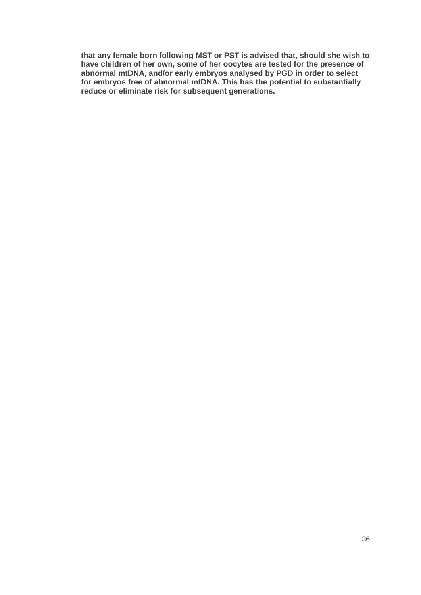**that any female born following MST or PST is advised that, should she wish to have children of her own, some of her oocytes are tested for the presence of abnormal mtDNA, and/or early embryos analysed by PGD in order to select for embryos free of abnormal mtDNA. This has the potential to substantially reduce or eliminate risk for subsequent generations.**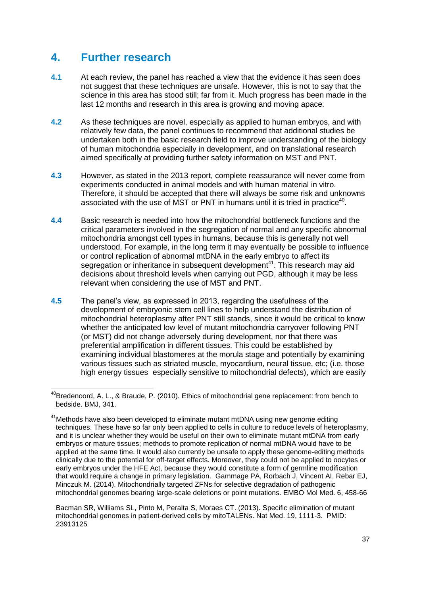### **4. Further research**

- **4.1** At each review, the panel has reached a view that the evidence it has seen does not suggest that these techniques are unsafe. However, this is not to say that the science in this area has stood still; far from it. Much progress has been made in the last 12 months and research in this area is growing and moving apace.
- **4.2** As these techniques are novel, especially as applied to human embryos, and with relatively few data, the panel continues to recommend that additional studies be undertaken both in the basic research field to improve understanding of the biology of human mitochondria especially in development, and on translational research aimed specifically at providing further safety information on MST and PNT.
- **4.3** However, as stated in the 2013 report, complete reassurance will never come from experiments conducted in animal models and with human material in vitro. Therefore, it should be accepted that there will always be some risk and unknowns associated with the use of MST or PNT in humans until it is tried in practice<sup>40</sup>.
- **4.4** Basic research is needed into how the mitochondrial bottleneck functions and the critical parameters involved in the segregation of normal and any specific abnormal mitochondria amongst cell types in humans, because this is generally not well understood. For example, in the long term it may eventually be possible to influence or control replication of abnormal mtDNA in the early embryo to affect its segregation or inheritance in subsequent development<sup>41</sup>. This research may aid decisions about threshold levels when carrying out PGD, although it may be less relevant when considering the use of MST and PNT.
- **4.5** The panel's view, as expressed in 2013, regarding the usefulness of the development of embryonic stem cell lines to help understand the distribution of mitochondrial heteroplasmy after PNT still stands, since it would be critical to know whether the anticipated low level of mutant mitochondria carryover following PNT (or MST) did not change adversely during development, nor that there was preferential amplification in different tissues. This could be established by examining individual blastomeres at the morula stage and potentially by examining various tissues such as striated muscle, myocardium, neural tissue, etc; (i.e. those high energy tissues especially sensitive to mitochondrial defects), which are easily

Bacman SR, Williams SL, Pinto M, Peralta S, Moraes CT. (2013). [Specific elimination of mutant](http://www.ncbi.nlm.nih.gov/pubmed/23913125)  [mitochondrial genomes in patient-derived cells by mitoTALENs.](http://www.ncbi.nlm.nih.gov/pubmed/23913125) Nat Med. 19, 1111-3. PMID: 23913125

**<sup>.</sup>** <sup>40</sup>Bredenoord, A. L., & Braude, P. (2010). Ethics of mitochondrial gene replacement: from bench to bedside. BMJ, 341.

 $41$ Methods have also been developed to eliminate mutant mtDNA using new genome editing techniques. These have so far only been applied to cells in culture to reduce levels of heteroplasmy, and it is unclear whether they would be useful on their own to eliminate mutant mtDNA from early embryos or mature tissues; methods to promote replication of normal mtDNA would have to be applied at the same time. It would also currently be unsafe to apply these genome-editing methods clinically due to the potential for off-target effects. Moreover, they could not be applied to oocytes or early embryos under the HFE Act, because they would constitute a form of germline modification that would require a change in primary legislation. Gammage PA, Rorbach J, Vincent AI, Rebar EJ, Minczuk M. (2014). [Mitochondrially targeted ZFNs for selective degradation of pathogenic](http://www.ncbi.nlm.nih.gov/pubmed/24567072)  [mitochondrial genomes bearing large-scale deletions or point mutations.](http://www.ncbi.nlm.nih.gov/pubmed/24567072) EMBO Mol Med. 6, 458-66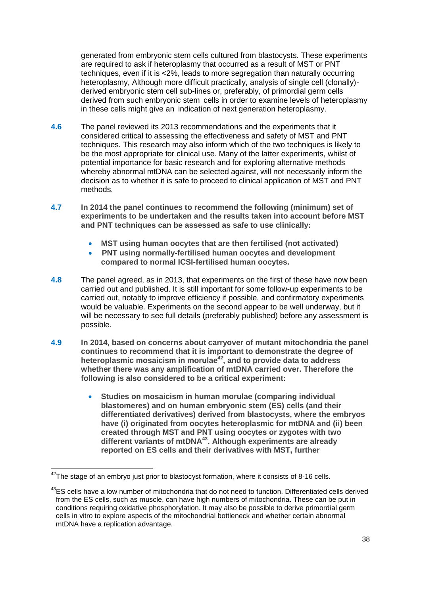generated from embryonic stem cells cultured from blastocysts. These experiments are required to ask if heteroplasmy that occurred as a result of MST or PNT techniques, even if it is <2%, leads to more segregation than naturally occurring heteroplasmy, Although more difficult practically, analysis of single cell (clonally)derived embryonic stem cell sub-lines or, preferably, of primordial germ cells derived from such embryonic stem cells in order to examine levels of heteroplasmy in these cells might give an indication of next generation heteroplasmy.

- **4.6** The panel reviewed its 2013 recommendations and the experiments that it considered critical to assessing the effectiveness and safety of MST and PNT techniques. This research may also inform which of the two techniques is likely to be the most appropriate for clinical use. Many of the latter experiments, whilst of potential importance for basic research and for exploring alternative methods whereby abnormal mtDNA can be selected against, will not necessarily inform the decision as to whether it is safe to proceed to clinical application of MST and PNT methods.
- **4.7 In 2014 the panel continues to recommend the following (minimum) set of experiments to be undertaken and the results taken into account before MST and PNT techniques can be assessed as safe to use clinically:** 
	- **MST using human oocytes that are then fertilised (not activated)**
	- **PNT using normally-fertilised human oocytes and development compared to normal ICSI-fertilised human oocytes.**
- **4.8** The panel agreed, as in 2013, that experiments on the first of these have now been carried out and published. It is still important for some follow-up experiments to be carried out, notably to improve efficiency if possible, and confirmatory experiments would be valuable. Experiments on the second appear to be well underway, but it will be necessary to see full details (preferably published) before any assessment is possible.
- **4.9 In 2014, based on concerns about carryover of mutant mitochondria the panel continues to recommend that it is important to demonstrate the degree of heteroplasmic mosaicism in morulae<sup>42</sup>, and to provide data to address whether there was any amplification of mtDNA carried over. Therefore the following is also considered to be a critical experiment:**
	- **Studies on mosaicism in human morulae (comparing individual blastomeres) and on human embryonic stem (ES) cells (and their differentiated derivatives) derived from blastocysts, where the embryos have (i) originated from oocytes heteroplasmic for mtDNA and (ii) been created through MST and PNT using oocytes or zygotes with two different variants of mtDNA<sup>43</sup>. Although experiments are already reported on ES cells and their derivatives with MST, further**

**.** 

 $42$ The stage of an embryo just prior to blastocyst formation, where it consists of 8-16 cells.

<sup>&</sup>lt;sup>43</sup>ES cells have a low number of mitochondria that do not need to function. Differentiated cells derived from the ES cells, such as muscle, can have high numbers of mitochondria. These can be put in conditions requiring oxidative phosphorylation. It may also be possible to derive primordial germ cells in vitro to explore aspects of the mitochondrial bottleneck and whether certain abnormal mtDNA have a replication advantage.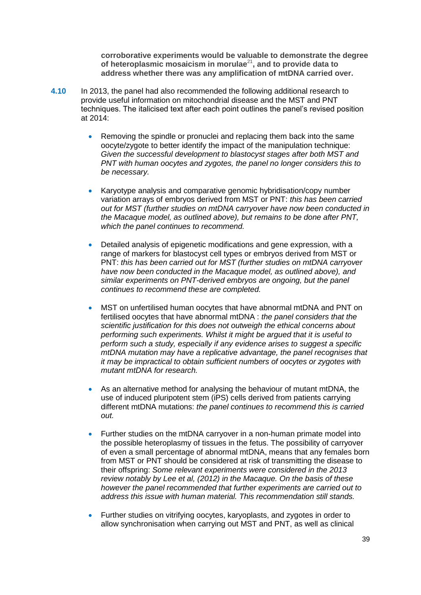**corroborative experiments would be valuable to demonstrate the degree of heteroplasmic mosaicism in morulae**<sup>21</sup>**, and to provide data to address whether there was any amplification of mtDNA carried over.** 

- **4.10** In 2013, the panel had also recommended the following additional research to provide useful information on mitochondrial disease and the MST and PNT techniques. The italicised text after each point outlines the panel's revised position at 2014:
	- Removing the spindle or pronuclei and replacing them back into the same oocyte/zygote to better identify the impact of the manipulation technique: *Given the successful development to blastocyst stages after both MST and PNT with human oocytes and zygotes, the panel no longer considers this to be necessary.*
	- Karyotype analysis and comparative genomic hybridisation/copy number variation arrays of embryos derived from MST or PNT: *this has been carried out for MST (further studies on mtDNA carryover have now been conducted in the Macaque model, as outlined above), but remains to be done after PNT, which the panel continues to recommend.*
	- Detailed analysis of epigenetic modifications and gene expression, with a range of markers for blastocyst cell types or embryos derived from MST or PNT: *this has been carried out for MST (further studies on mtDNA carryover have now been conducted in the Macaque model, as outlined above), and similar experiments on PNT-derived embryos are ongoing, but the panel continues to recommend these are completed.*
	- MST on unfertilised human oocytes that have abnormal mtDNA and PNT on fertilised oocytes that have abnormal mtDNA : *the panel considers that the scientific justification for this does not outweigh the ethical concerns about performing such experiments. Whilst it might be argued that it is useful to perform such a study, especially if any evidence arises to suggest a specific mtDNA mutation may have a replicative advantage, the panel recognises that it may be impractical to obtain sufficient numbers of oocytes or zygotes with mutant mtDNA for research.*
	- As an alternative method for analysing the behaviour of mutant mtDNA, the use of induced pluripotent stem (iPS) cells derived from patients carrying different mtDNA mutations: *the panel continues to recommend this is carried out.*
	- Further studies on the mtDNA carryover in a non-human primate model into the possible heteroplasmy of tissues in the fetus. The possibility of carryover of even a small percentage of abnormal mtDNA, means that any females born from MST or PNT should be considered at risk of transmitting the disease to their offspring: *Some relevant experiments were considered in the 2013 review notably by Lee et al, (2012) in the Macaque. On the basis of these however the panel recommended that further experiments are carried out to address this issue with human material. This recommendation still stands.*
	- Further studies on vitrifying oocytes, karyoplasts, and zygotes in order to allow synchronisation when carrying out MST and PNT, as well as clinical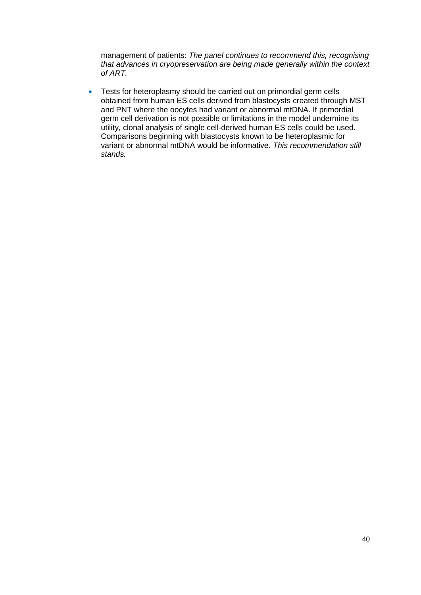management of patients: *The panel continues to recommend this, recognising that advances in cryopreservation are being made generally within the context of ART.*

• Tests for heteroplasmy should be carried out on primordial germ cells obtained from human ES cells derived from blastocysts created through MST and PNT where the oocytes had variant or abnormal mtDNA. If primordial germ cell derivation is not possible or limitations in the model undermine its utility, clonal analysis of single cell-derived human ES cells could be used. Comparisons beginning with blastocysts known to be heteroplasmic for variant or abnormal mtDNA would be informative. *This recommendation still stands.*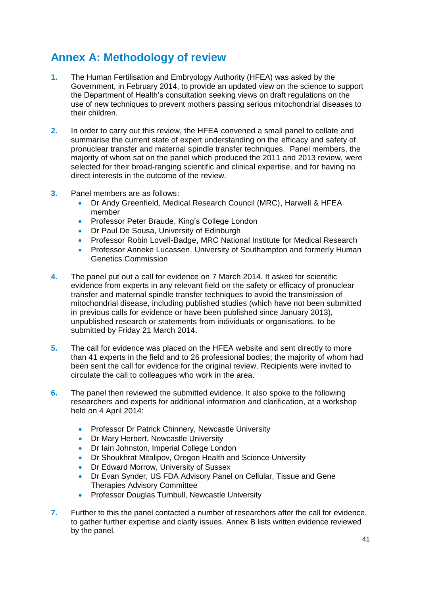## **Annex A: Methodology of review**

- **1.** The Human Fertilisation and Embryology Authority (HFEA) was asked by the Government, in February 2014, to provide an updated view on the science to support the Department of Health's consultation seeking views on draft regulations on the use of new techniques to prevent mothers passing serious mitochondrial diseases to their children.
- **2.** In order to carry out this review, the HFEA convened a small panel to collate and summarise the current state of expert understanding on the efficacy and safety of pronuclear transfer and maternal spindle transfer techniques. Panel members, the majority of whom sat on the panel which produced the 2011 and 2013 review, were selected for their broad-ranging scientific and clinical expertise, and for having no direct interests in the outcome of the review.
- **3.** Panel members are as follows:
	- Dr Andy Greenfield, [Medical Research Council \(MRC\),](http://www.mrc.ac.uk/) Harwell & HFEA member
	- **Professor Peter Braude, King's College London**
	- Dr Paul De Sousa, University of Edinburgh
	- Professor Robin Lovell-Badge, MRC National Institute for Medical Research
	- **Professor Anneke Lucassen, University of Southampton and formerly Human** Genetics Commission
- **4.** The panel put out a call for evidence on 7 March 2014. It asked for scientific evidence from experts in any relevant field on the safety or efficacy of pronuclear transfer and maternal spindle transfer techniques to avoid the transmission of mitochondrial disease, including published studies (which have not been submitted in previous calls for evidence or have been published since January 2013), unpublished research or statements from individuals or organisations, to be submitted by Friday 21 March 2014.
- **5.** The call for evidence was placed on the HFEA website and sent directly to more than 41 experts in the field and to 26 professional bodies; the majority of whom had been sent the call for evidence for the original review. Recipients were invited to circulate the call to colleagues who work in the area.
- **6.** The panel then reviewed the submitted evidence. It also spoke to the following researchers and experts for additional information and clarification, at a workshop held on 4 April 2014:
	- Professor Dr Patrick Chinnery, Newcastle University
	- **Dr Mary Herbert, Newcastle University**
	- **•** Dr Iain Johnston, Imperial College London
	- Dr Shoukhrat Mitalipov, Oregon Health and Science University
	- **Dr Edward Morrow, University of Sussex**
	- Dr Evan Synder, US FDA Advisory Panel on Cellular, Tissue and Gene Therapies Advisory Committee
	- **Professor Douglas Turnbull, Newcastle University**
- **7.** Further to this the panel contacted a number of researchers after the call for evidence, to gather further expertise and clarify issues. Annex B lists written evidence reviewed by the panel.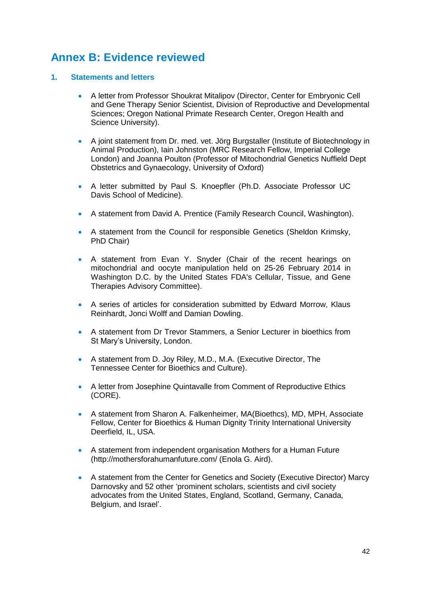### **Annex B: Evidence reviewed**

#### **1. Statements and letters**

- A letter from Professor Shoukrat Mitalipov (Director, Center for Embryonic Cell and Gene Therapy Senior Scientist, Division of Reproductive and Developmental Sciences; Oregon National Primate Research Center, Oregon Health and Science University).
- A joint statement from Dr. med. vet. Jörg Burgstaller (Institute of Biotechnology in Animal Production), Iain Johnston (MRC Research Fellow, Imperial College London) and Joanna Poulton (Professor of Mitochondrial Genetics Nuffield Dept Obstetrics and Gynaecology, University of Oxford)
- A letter submitted by Paul S. Knoepfler (Ph.D. Associate Professor UC Davis School of Medicine).
- A statement from David A. Prentice (Family Research Council, Washington).
- A statement from the Council for responsible Genetics (Sheldon Krimsky, PhD Chair)
- A statement from Evan Y. Snyder (Chair of the recent hearings on mitochondrial and oocyte manipulation held on 25-26 February 2014 in Washington D.C. by the United States FDA's Cellular, Tissue, and Gene Therapies Advisory Committee).
- A series of articles for consideration submitted by Edward Morrow, Klaus Reinhardt, Jonci Wolff and Damian Dowling.
- A statement from Dr Trevor Stammers, a Senior Lecturer in bioethics from St Mary's University, London.
- A statement from D. Joy Riley, M.D., M.A. (Executive Director, The Tennessee Center for Bioethics and Culture).
- A letter from Josephine Quintavalle from Comment of Reproductive Ethics (CORE).
- A statement from Sharon A. Falkenheimer, MA(Bioethcs), MD, MPH, Associate Fellow, Center for Bioethics & Human Dignity Trinity International University Deerfield, IL, USA.
- A statement from independent organisation Mothers for a Human Future (http://mothersforahumanfuture.com/ (Enola G. Aird).
- A statement from the Center for Genetics and Society (Executive Director) Marcy Darnovsky and 52 other 'prominent scholars, scientists and civil society advocates from the United States, England, Scotland, Germany, Canada, Belgium, and Israel'.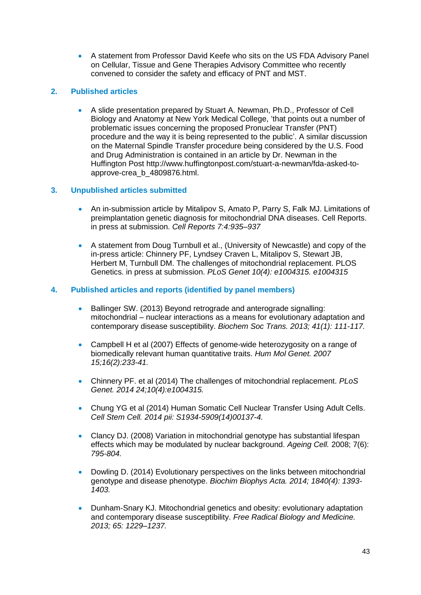A statement from Professor David Keefe who sits on the US FDA Advisory Panel on Cellular, Tissue and Gene Therapies Advisory Committee who recently convened to consider the safety and efficacy of PNT and MST.

#### **2. Published articles**

 A slide presentation prepared by Stuart A. Newman, Ph.D., Professor of Cell Biology and Anatomy at New York Medical College, 'that points out a number of problematic issues concerning the proposed Pronuclear Transfer (PNT) procedure and the way it is being represented to the public'. A similar discussion on the Maternal Spindle Transfer procedure being considered by the U.S. Food and Drug Administration is contained in an article by Dr. Newman in the Huffington Post [http://www.huffingtonpost.com/stuart-a-newman/fda-asked-to](http://www.huffingtonpost.com/stuart-a-newman/fda-asked-to-approve-crea_b_4809876.html)[approve-crea\\_b\\_4809876.html.](http://www.huffingtonpost.com/stuart-a-newman/fda-asked-to-approve-crea_b_4809876.html)

#### **3. Unpublished articles submitted**

- An in-submission article by Mitalipov S, Amato P, Parry S, Falk MJ. Limitations of preimplantation genetic diagnosis for mitochondrial DNA diseases. Cell Reports. in press at submission. *[Cell Reports 7:4:](http://www.cell.com/cell-reports/issue?pii=S2211-1247%2814%29X0010-0)935–937*
- A statement from Doug Turnbull et al., (University of Newcastle) and copy of the in-press article: Chinnery PF, Lyndsey Craven L, Mitalipov S, Stewart JB, Herbert M, Turnbull DM. The challenges of mitochondrial replacement. PLOS Genetics. in press at submission. *PLoS Genet 10(4): e1004315. e1004315*

#### **4. Published articles and reports (identified by panel members)**

- Ballinger SW. (2013) Beyond retrograde and anterograde signalling: mitochondrial – nuclear interactions as a means for evolutionary adaptation and contemporary disease susceptibility. *[Biochem Soc Trans.](http://www.ncbi.nlm.nih.gov/pubmed/23356268) 2013; 41(1): 111-117.*
- Campbell H et al (2007) [Effects of genome-wide heterozygosity on a range of](http://www.ncbi.nlm.nih.gov/pubmed/17220173)  [biomedically relevant human quantitative traits.](http://www.ncbi.nlm.nih.gov/pubmed/17220173) *Hum Mol Genet. 2007 15;16(2):233-41.*
- Chinnery PF. et al (2014) [The challenges of mitochondrial replacement.](http://www.ncbi.nlm.nih.gov/pubmed/24762741) *PLoS Genet. 2014 24;10(4):e1004315.*
- [Chung YG](http://www.ncbi.nlm.nih.gov/pubmed?term=Chung%20YG%5BAuthor%5D&cauthor=true&cauthor_uid=24746675) et al (2014) Human Somatic Cell Nuclear Transfer Using Adult Cells. *[Cell Stem Cell.](http://www.ncbi.nlm.nih.gov/pubmed/?term=24746675) 2014 pii: S1934-5909(14)00137-4.*
- Clancy DJ. (2008) Variation in mitochondrial genotype has substantial lifespan effects which may be modulated by nuclear background. *[Ageing Cell.](http://www.ncbi.nlm.nih.gov/pubmed/18727704)* 2008; 7(6): *795-804.*
- Dowling D. (2014) Evolutionary perspectives on the links between mitochondrial genotype and disease phenotype. *[Biochim Biophys Acta.](http://www.ncbi.nlm.nih.gov/pubmed/24246955) 2014; 1840(4): 1393- 1403.*
- [Dunham-Snary KJ.](http://www.ncbi.nlm.nih.gov/pubmed?term=Dunham-Snary%20KJ%5BAuthor%5D&cauthor=true&cauthor_uid=24075923) Mitochondrial genetics and obesity: evolutionary adaptation and contemporary disease susceptibility. *[Free Radical Biology and Medicine.](http://www.sciencedirect.com/science/journal/08915849) 2013; [65:](http://www.sciencedirect.com/science/journal/08915849/65/supp/C) 1229–1237.*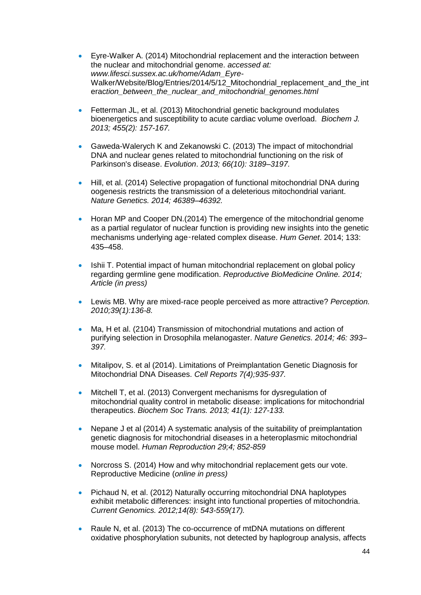- Eyre-Walker A. (2014) Mitochondrial replacement and the interaction between the nuclear and mitochondrial genome. *accessed at: www.lifesci.sussex.ac.uk/home/Adam\_Eyre-*Walker/Website/Blog/Entries/2014/5/12 Mitochondrial replacement and the int erac*tion\_between\_the\_nuclear\_and\_mitochondrial\_genomes.html*
- [Fetterman JL,](http://www.ncbi.nlm.nih.gov/pubmed?term=Fetterman%20JL%5BAuthor%5D&cauthor=true&cauthor_uid=23924350) et al. (2013) Mitochondrial genetic background modulates bioenergetics and susceptibility to acute cardiac volume overload. *[Biochem J.](http://www.ncbi.nlm.nih.gov/pubmed/23924350) 2013; 455(2): 157-167.*
- [Gaweda-Walerych K](http://www.ncbi.nlm.nih.gov/pubmed?term=Gaweda-Walerych%20K%5BAuthor%5D&cauthor=true&cauthor_uid=24532986) and [Zekanowski C.](http://www.ncbi.nlm.nih.gov/pubmed?term=Zekanowski%20C%5BAuthor%5D&cauthor=true&cauthor_uid=24532986) (2013) The impact of mitochondrial DNA and nuclear genes related to mitochondrial functioning on the risk of Parkinson's disease. *Evolution*. *2013; [66\(10\):](http://onlinelibrary.wiley.com/doi/10.1111/evo.2012.66.issue-10/issuetoc) 3189–3197.*
- Hill, et al. (2014) Selective propagation of functional mitochondrial DNA during oogenesis restricts the transmission of a deleterious mitochondrial variant. *Nature Genetics. 2014; 46389–46392.*
- Horan MP and Cooper DN.(2014) The emergence of the mitochondrial genome as a partial regulator of nuclear function is providing new insights into the genetic mechanisms underlying age‑related complex disease. *Hum Genet*. 2014; 133: 435–458.
- Ishii T. Potential impact of human mitochondrial replacement on global policy regarding germline gene modification. *Reproductive BioMedicine Online. 2014; [Article \(in press\)](http://www.rbmojournal.com/inpress)*
- Lewis MB. [Why are mixed-race people perceived as more attractive?](http://www.ncbi.nlm.nih.gov/pubmed/20301855) *Perception. 2010;39(1):136-8.*
- Ma, H et al. (2104) Transmission of mitochondrial mutations and action of purifying selection in Drosophila melanogaster. *Nature Genetics. 2014; 46: 393– 397.*
- Mitalipov, S. et al (2014). Limitations of Preimplantation Genetic Diagnosis for Mitochondrial DNA Diseases. *Cell Reports 7(4);935-937.*
- [Mitchell T,](http://www.ncbi.nlm.nih.gov/pubmed?term=Mitchell%20T%5BAuthor%5D&cauthor=true&cauthor_uid=23356271) et al. (2013) Convergent mechanisms for dysregulation of mitochondrial quality control in metabolic disease: implications for mitochondrial therapeutics. *[Biochem Soc Trans.](http://www.ncbi.nlm.nih.gov/pubmed/23356271) 2013; 41(1): 127-133.*
- Nepane J et al (2014) A systematic analysis of the suitability of preimplantation genetic diagnosis for mitochondrial diseases in a heteroplasmic mitochondrial mouse model. *Human Reproduction 29;4; 852-859*
- Norcross S. (2014) How and why mitochondrial replacement gets our vote. Reproductive Medicine (*online in press)*
- [Pichaud N,](http://www.ncbi.nlm.nih.gov/pubmed?term=Pichaud%20N%5BAuthor%5D&cauthor=true&cauthor_uid=23025608) et al. (2012) Naturally occurring mitochondrial DNA haplotypes exhibit metabolic differences: insight into functional properties of mitochondria. *[Current Genomics.](http://www.ingentaconnect.com/content/ben/cg;jsessionid=6hqsmeq832m8q.alice) 2012;14(8): 543-559(17).*
- [Raule N,](http://www.ncbi.nlm.nih.gov/pubmed?term=Raule%20N%5BAuthor%5D&cauthor=true&cauthor_uid=24341918) et al. (2013) The co-occurrence of mtDNA mutations on different oxidative phosphorylation subunits, not detected by haplogroup analysis, affects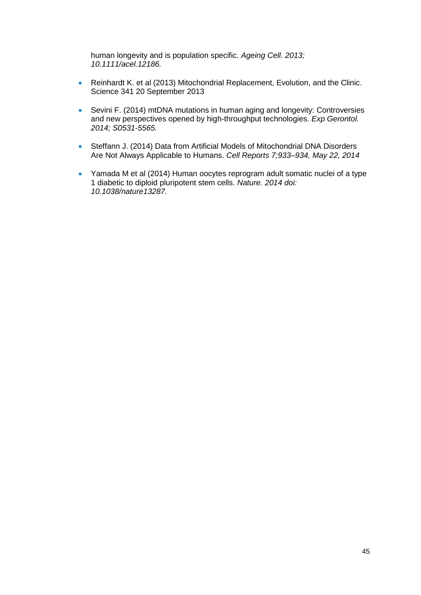human longevity and is population specific. *[Ageing Cell.](http://www.ncbi.nlm.nih.gov/pubmed/24341918) 2013; 10.1111/acel.12186.*

- Reinhardt K. et al (2013) Mitochondrial Replacement, Evolution, and the Clinic. Science 341 20 September 2013
- [Sevini](http://www.sciencedirect.com/science/article/pii/S0531556514001016) F. (2014) mtDNA mutations in human aging and longevity: Controversies and new perspectives opened by high-throughput technologies. *[Exp Gerontol.](http://www.ncbi.nlm.nih.gov/pubmed/24709341) 2014; S0531-5565.*
- Steffann J. (2014) Data from Artificial Models of Mitochondrial DNA Disorders Are Not Always Applicable to Humans. *Cell Reports 7;933–934, May 22, 2014*
- Yamada M et al (2014) Human oocytes reprogram adult somatic nuclei of a type 1 diabetic to diploid pluripotent stem cells. *[Nature.](http://www.ncbi.nlm.nih.gov/pubmed/?term=24776804) 2014 doi: 10.1038/nature13287.*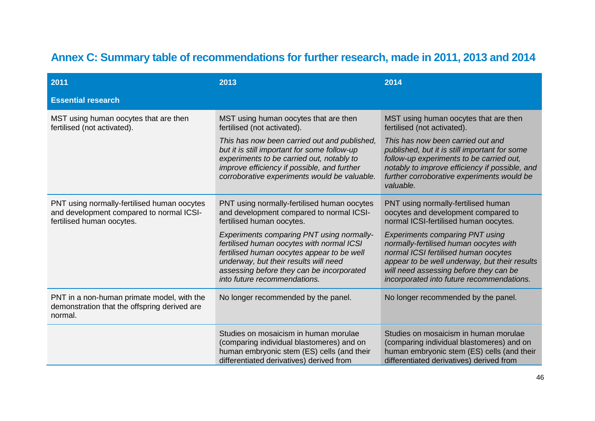# **Annex C: Summary table of recommendations for further research, made in 2011, 2013 and 2014**

| 2011                                                                                                                 | 2013                                                                                                                                                                                                                                                              | 2014                                                                                                                                                                                                                                                             |
|----------------------------------------------------------------------------------------------------------------------|-------------------------------------------------------------------------------------------------------------------------------------------------------------------------------------------------------------------------------------------------------------------|------------------------------------------------------------------------------------------------------------------------------------------------------------------------------------------------------------------------------------------------------------------|
| <b>Essential research</b>                                                                                            |                                                                                                                                                                                                                                                                   |                                                                                                                                                                                                                                                                  |
| MST using human oocytes that are then<br>fertilised (not activated).                                                 | MST using human oocytes that are then<br>fertilised (not activated).                                                                                                                                                                                              | MST using human oocytes that are then<br>fertilised (not activated).                                                                                                                                                                                             |
|                                                                                                                      | This has now been carried out and published,<br>but it is still important for some follow-up<br>experiments to be carried out, notably to<br>improve efficiency if possible, and further<br>corroborative experiments would be valuable.                          | This has now been carried out and<br>published, but it is still important for some<br>follow-up experiments to be carried out,<br>notably to improve efficiency if possible, and<br>further corroborative experiments would be<br>valuable.                      |
| PNT using normally-fertilised human oocytes<br>and development compared to normal ICSI-<br>fertilised human oocytes. | PNT using normally-fertilised human oocytes<br>and development compared to normal ICSI-<br>fertilised human oocytes.                                                                                                                                              | PNT using normally-fertilised human<br>oocytes and development compared to<br>normal ICSI-fertilised human oocytes.                                                                                                                                              |
|                                                                                                                      | <b>Experiments comparing PNT using normally-</b><br>fertilised human oocytes with normal ICSI<br>fertilised human oocytes appear to be well<br>underway, but their results will need<br>assessing before they can be incorporated<br>into future recommendations. | <b>Experiments comparing PNT using</b><br>normally-fertilised human oocytes with<br>normal ICSI fertilised human oocytes<br>appear to be well underway, but their results<br>will need assessing before they can be<br>incorporated into future recommendations. |
| PNT in a non-human primate model, with the<br>demonstration that the offspring derived are<br>normal.                | No longer recommended by the panel.                                                                                                                                                                                                                               | No longer recommended by the panel.                                                                                                                                                                                                                              |
|                                                                                                                      | Studies on mosaicism in human morulae<br>(comparing individual blastomeres) and on<br>human embryonic stem (ES) cells (and their<br>differentiated derivatives) derived from                                                                                      | Studies on mosaicism in human morulae<br>(comparing individual blastomeres) and on<br>human embryonic stem (ES) cells (and their<br>differentiated derivatives) derived from                                                                                     |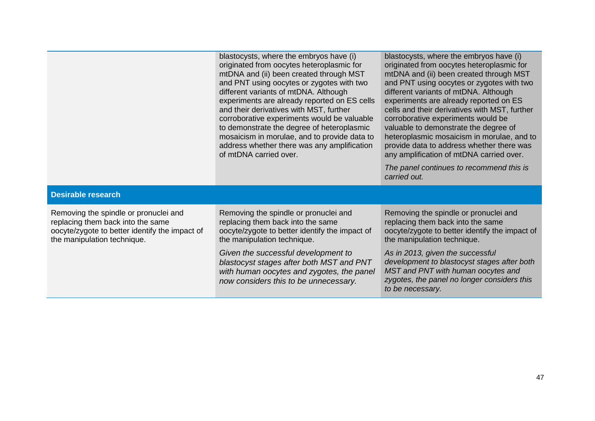|                                                                                                                                                             | blastocysts, where the embryos have (i)<br>originated from oocytes heteroplasmic for<br>mtDNA and (ii) been created through MST<br>and PNT using oocytes or zygotes with two<br>different variants of mtDNA. Although<br>experiments are already reported on ES cells<br>and their derivatives with MST, further<br>corroborative experiments would be valuable<br>to demonstrate the degree of heteroplasmic<br>mosaicism in morulae, and to provide data to<br>address whether there was any amplification<br>of mtDNA carried over. | blastocysts, where the embryos have (i)<br>originated from oocytes heteroplasmic for<br>mtDNA and (ii) been created through MST<br>and PNT using oocytes or zygotes with two<br>different variants of mtDNA. Although<br>experiments are already reported on ES<br>cells and their derivatives with MST, further<br>corroborative experiments would be<br>valuable to demonstrate the degree of<br>heteroplasmic mosaicism in morulae, and to<br>provide data to address whether there was<br>any amplification of mtDNA carried over.<br>The panel continues to recommend this is<br>carried out. |
|-------------------------------------------------------------------------------------------------------------------------------------------------------------|----------------------------------------------------------------------------------------------------------------------------------------------------------------------------------------------------------------------------------------------------------------------------------------------------------------------------------------------------------------------------------------------------------------------------------------------------------------------------------------------------------------------------------------|----------------------------------------------------------------------------------------------------------------------------------------------------------------------------------------------------------------------------------------------------------------------------------------------------------------------------------------------------------------------------------------------------------------------------------------------------------------------------------------------------------------------------------------------------------------------------------------------------|
| <b>Desirable research</b>                                                                                                                                   |                                                                                                                                                                                                                                                                                                                                                                                                                                                                                                                                        |                                                                                                                                                                                                                                                                                                                                                                                                                                                                                                                                                                                                    |
| Removing the spindle or pronuclei and<br>replacing them back into the same<br>oocyte/zygote to better identify the impact of<br>the manipulation technique. | Removing the spindle or pronuclei and<br>replacing them back into the same<br>oocyte/zygote to better identify the impact of<br>the manipulation technique.                                                                                                                                                                                                                                                                                                                                                                            | Removing the spindle or pronuclei and<br>replacing them back into the same<br>oocyte/zygote to better identify the impact of<br>the manipulation technique.                                                                                                                                                                                                                                                                                                                                                                                                                                        |
|                                                                                                                                                             | Given the successful development to<br>blastocyst stages after both MST and PNT<br>with human oocytes and zygotes, the panel<br>now considers this to be unnecessary.                                                                                                                                                                                                                                                                                                                                                                  | As in 2013, given the successful<br>development to blastocyst stages after both<br>MST and PNT with human oocytes and<br>zygotes, the panel no longer considers this<br>to be necessary.                                                                                                                                                                                                                                                                                                                                                                                                           |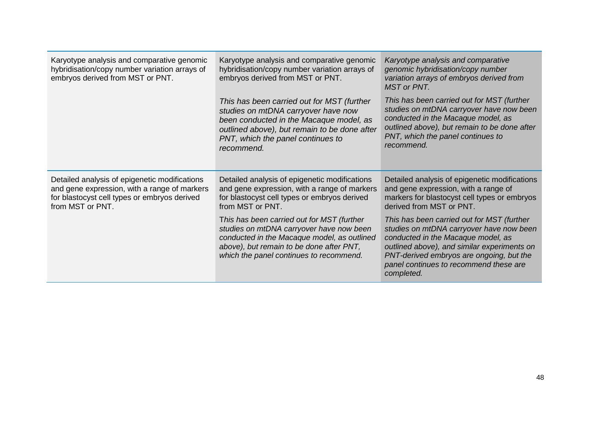| Karyotype analysis and comparative genomic<br>hybridisation/copy number variation arrays of<br>embryos derived from MST or PNT.                                   | Karyotype analysis and comparative genomic<br>hybridisation/copy number variation arrays of<br>embryos derived from MST or PNT.                                                                                                 | Karyotype analysis and comparative<br>genomic hybridisation/copy number<br>variation arrays of embryos derived from<br><b>MST</b> or PNT.                                                                                                                                       |
|-------------------------------------------------------------------------------------------------------------------------------------------------------------------|---------------------------------------------------------------------------------------------------------------------------------------------------------------------------------------------------------------------------------|---------------------------------------------------------------------------------------------------------------------------------------------------------------------------------------------------------------------------------------------------------------------------------|
|                                                                                                                                                                   | This has been carried out for MST (further<br>studies on mtDNA carryover have now<br>been conducted in the Macaque model, as<br>outlined above), but remain to be done after<br>PNT, which the panel continues to<br>recommend. | This has been carried out for MST (further<br>studies on mtDNA carryover have now been<br>conducted in the Macaque model, as<br>outlined above), but remain to be done after<br>PNT, which the panel continues to<br>recommend.                                                 |
| Detailed analysis of epigenetic modifications<br>and gene expression, with a range of markers<br>for blastocyst cell types or embryos derived<br>from MST or PNT. | Detailed analysis of epigenetic modifications<br>and gene expression, with a range of markers<br>for blastocyst cell types or embryos derived<br>from MST or PNT.                                                               | Detailed analysis of epigenetic modifications<br>and gene expression, with a range of<br>markers for blastocyst cell types or embryos<br>derived from MST or PNT.                                                                                                               |
|                                                                                                                                                                   | This has been carried out for MST (further<br>studies on mtDNA carryover have now been<br>conducted in the Macaque model, as outlined<br>above), but remain to be done after PNT,<br>which the panel continues to recommend.    | This has been carried out for MST (further<br>studies on mtDNA carryover have now been<br>conducted in the Macaque model, as<br>outlined above), and similar experiments on<br>PNT-derived embryos are ongoing, but the<br>panel continues to recommend these are<br>completed. |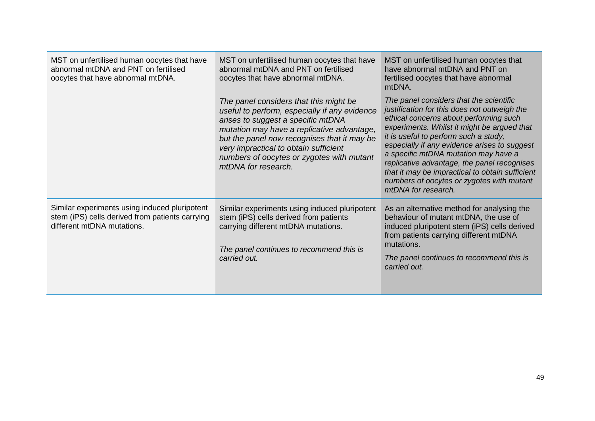| MST on unfertilised human oocytes that have<br>abnormal mtDNA and PNT on fertilised<br>oocytes that have abnormal mtDNA.       | MST on unfertilised human oocytes that have<br>abnormal mtDNA and PNT on fertilised<br>oocytes that have abnormal mtDNA.                                                                                                                                                                                                                | MST on unfertilised human oocytes that<br>have abnormal mtDNA and PNT on<br>fertilised oocytes that have abnormal<br>mtDNA.                                                                                                                                                                                                                                                                                                                                                             |
|--------------------------------------------------------------------------------------------------------------------------------|-----------------------------------------------------------------------------------------------------------------------------------------------------------------------------------------------------------------------------------------------------------------------------------------------------------------------------------------|-----------------------------------------------------------------------------------------------------------------------------------------------------------------------------------------------------------------------------------------------------------------------------------------------------------------------------------------------------------------------------------------------------------------------------------------------------------------------------------------|
|                                                                                                                                | The panel considers that this might be<br>useful to perform, especially if any evidence<br>arises to suggest a specific mtDNA<br>mutation may have a replicative advantage,<br>but the panel now recognises that it may be<br>very impractical to obtain sufficient<br>numbers of oocytes or zygotes with mutant<br>mtDNA for research. | The panel considers that the scientific<br>justification for this does not outweigh the<br>ethical concerns about performing such<br>experiments. Whilst it might be argued that<br>it is useful to perform such a study,<br>especially if any evidence arises to suggest<br>a specific mtDNA mutation may have a<br>replicative advantage, the panel recognises<br>that it may be impractical to obtain sufficient<br>numbers of oocytes or zygotes with mutant<br>mtDNA for research. |
| Similar experiments using induced pluripotent<br>stem (iPS) cells derived from patients carrying<br>different mtDNA mutations. | Similar experiments using induced pluripotent<br>stem (iPS) cells derived from patients<br>carrying different mtDNA mutations.<br>The panel continues to recommend this is<br>carried out.                                                                                                                                              | As an alternative method for analysing the<br>behaviour of mutant mtDNA, the use of<br>induced pluripotent stem (iPS) cells derived<br>from patients carrying different mtDNA<br>mutations.<br>The panel continues to recommend this is<br>carried out.                                                                                                                                                                                                                                 |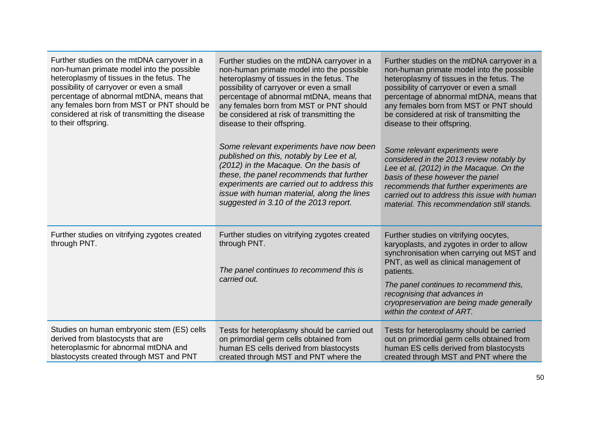| Further studies on the mtDNA carryover in a<br>non-human primate model into the possible<br>heteroplasmy of tissues in the fetus. The<br>possibility of carryover or even a small<br>percentage of abnormal mtDNA, means that<br>any females born from MST or PNT should be<br>considered at risk of transmitting the disease<br>to their offspring. | Further studies on the mtDNA carryover in a<br>non-human primate model into the possible<br>heteroplasmy of tissues in the fetus. The<br>possibility of carryover or even a small<br>percentage of abnormal mtDNA, means that<br>any females born from MST or PNT should<br>be considered at risk of transmitting the<br>disease to their offspring. | Further studies on the mtDNA carryover in a<br>non-human primate model into the possible<br>heteroplasmy of tissues in the fetus. The<br>possibility of carryover or even a small<br>percentage of abnormal mtDNA, means that<br>any females born from MST or PNT should<br>be considered at risk of transmitting the<br>disease to their offspring. |
|------------------------------------------------------------------------------------------------------------------------------------------------------------------------------------------------------------------------------------------------------------------------------------------------------------------------------------------------------|------------------------------------------------------------------------------------------------------------------------------------------------------------------------------------------------------------------------------------------------------------------------------------------------------------------------------------------------------|------------------------------------------------------------------------------------------------------------------------------------------------------------------------------------------------------------------------------------------------------------------------------------------------------------------------------------------------------|
|                                                                                                                                                                                                                                                                                                                                                      | Some relevant experiments have now been<br>published on this, notably by Lee et al,<br>(2012) in the Macaque. On the basis of<br>these, the panel recommends that further<br>experiments are carried out to address this<br>issue with human material, along the lines<br>suggested in 3.10 of the 2013 report.                                      | Some relevant experiments were<br>considered in the 2013 review notably by<br>Lee et al, (2012) in the Macaque. On the<br>basis of these however the panel<br>recommends that further experiments are<br>carried out to address this issue with human<br>material. This recommendation still stands.                                                 |
| Further studies on vitrifying zygotes created<br>through PNT.                                                                                                                                                                                                                                                                                        | Further studies on vitrifying zygotes created<br>through PNT.<br>The panel continues to recommend this is<br>carried out.                                                                                                                                                                                                                            | Further studies on vitrifying oocytes,<br>karyoplasts, and zygotes in order to allow<br>synchronisation when carrying out MST and<br>PNT, as well as clinical management of<br>patients.                                                                                                                                                             |
|                                                                                                                                                                                                                                                                                                                                                      |                                                                                                                                                                                                                                                                                                                                                      | The panel continues to recommend this,<br>recognising that advances in<br>cryopreservation are being made generally<br>within the context of ART.                                                                                                                                                                                                    |
| Studies on human embryonic stem (ES) cells<br>derived from blastocysts that are<br>heteroplasmic for abnormal mtDNA and<br>blastocysts created through MST and PNT                                                                                                                                                                                   | Tests for heteroplasmy should be carried out<br>on primordial germ cells obtained from<br>human ES cells derived from blastocysts<br>created through MST and PNT where the                                                                                                                                                                           | Tests for heteroplasmy should be carried<br>out on primordial germ cells obtained from<br>human ES cells derived from blastocysts<br>created through MST and PNT where the                                                                                                                                                                           |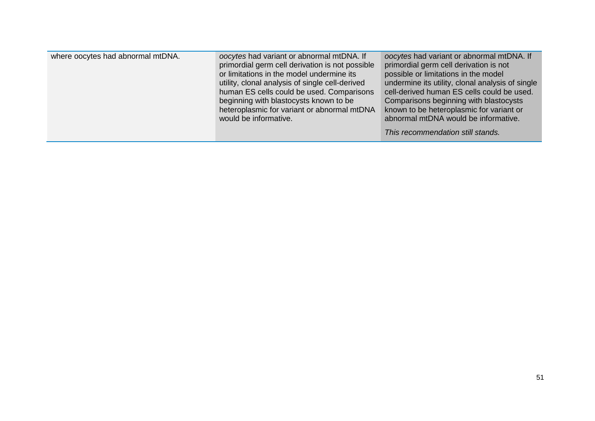| where oocytes had abnormal mtDNA. | oocytes had variant or abnormal mtDNA. If<br>primordial germ cell derivation is not possible<br>or limitations in the model undermine its<br>utility, clonal analysis of single cell-derived<br>human ES cells could be used. Comparisons<br>beginning with blastocysts known to be<br>heteroplasmic for variant or abnormal mtDNA<br>would be informative. | oocytes had variant or abnormal mtDNA. If<br>primordial germ cell derivation is not<br>possible or limitations in the model<br>undermine its utility, clonal analysis of single<br>cell-derived human ES cells could be used.<br>Comparisons beginning with blastocysts<br>known to be heteroplasmic for variant or<br>abnormal mtDNA would be informative. |
|-----------------------------------|-------------------------------------------------------------------------------------------------------------------------------------------------------------------------------------------------------------------------------------------------------------------------------------------------------------------------------------------------------------|-------------------------------------------------------------------------------------------------------------------------------------------------------------------------------------------------------------------------------------------------------------------------------------------------------------------------------------------------------------|
|                                   |                                                                                                                                                                                                                                                                                                                                                             | This recommendation still stands.                                                                                                                                                                                                                                                                                                                           |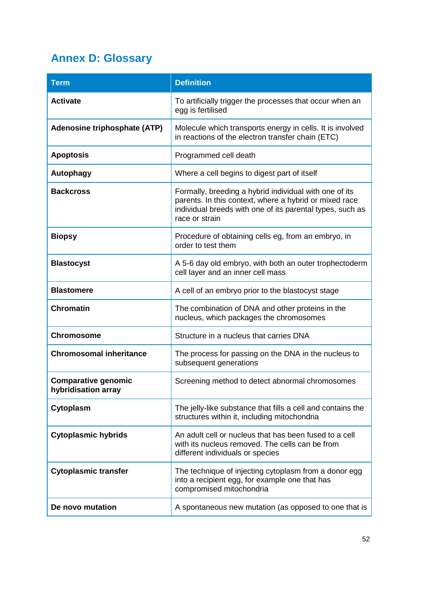# **Annex D: Glossary**

| <b>Term</b>                                       | <b>Definition</b>                                                                                                                                                                               |
|---------------------------------------------------|-------------------------------------------------------------------------------------------------------------------------------------------------------------------------------------------------|
| <b>Activate</b>                                   | To artificially trigger the processes that occur when an<br>egg is fertilised                                                                                                                   |
| <b>Adenosine triphosphate (ATP)</b>               | Molecule which transports energy in cells. It is involved<br>in reactions of the electron transfer chain (ETC)                                                                                  |
| <b>Apoptosis</b>                                  | Programmed cell death                                                                                                                                                                           |
| <b>Autophagy</b>                                  | Where a cell begins to digest part of itself                                                                                                                                                    |
| <b>Backcross</b>                                  | Formally, breeding a hybrid individual with one of its<br>parents. In this context, where a hybrid or mixed race<br>individual breeds with one of its parental types, such as<br>race or strain |
| <b>Biopsy</b>                                     | Procedure of obtaining cells eg, from an embryo, in<br>order to test them                                                                                                                       |
| <b>Blastocyst</b>                                 | A 5-6 day old embryo, with both an outer trophectoderm<br>cell layer and an inner cell mass                                                                                                     |
| <b>Blastomere</b>                                 | A cell of an embryo prior to the blastocyst stage                                                                                                                                               |
| <b>Chromatin</b>                                  | The combination of DNA and other proteins in the<br>nucleus, which packages the chromosomes                                                                                                     |
| <b>Chromosome</b>                                 | Structure in a nucleus that carries DNA                                                                                                                                                         |
| <b>Chromosomal inheritance</b>                    | The process for passing on the DNA in the nucleus to<br>subsequent generations                                                                                                                  |
| <b>Comparative genomic</b><br>hybridisation array | Screening method to detect abnormal chromosomes                                                                                                                                                 |
| Cytoplasm                                         | The jelly-like substance that fills a cell and contains the<br>structures within it, including mitochondria                                                                                     |
| <b>Cytoplasmic hybrids</b>                        | An adult cell or nucleus that has been fused to a cell<br>with its nucleus removed. The cells can be from<br>different individuals or species                                                   |
| <b>Cytoplasmic transfer</b>                       | The technique of injecting cytoplasm from a donor egg<br>into a recipient egg, for example one that has<br>compromised mitochondria                                                             |
| De novo mutation                                  | A spontaneous new mutation (as opposed to one that is                                                                                                                                           |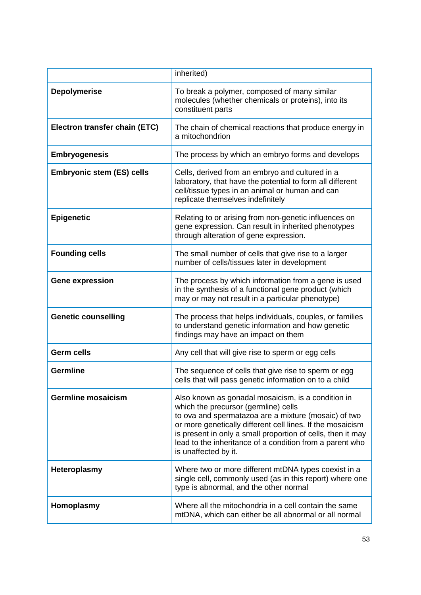|                                  | inherited)                                                                                                                                                                                                                                                                                                                                                          |
|----------------------------------|---------------------------------------------------------------------------------------------------------------------------------------------------------------------------------------------------------------------------------------------------------------------------------------------------------------------------------------------------------------------|
|                                  |                                                                                                                                                                                                                                                                                                                                                                     |
| <b>Depolymerise</b>              | To break a polymer, composed of many similar<br>molecules (whether chemicals or proteins), into its<br>constituent parts                                                                                                                                                                                                                                            |
| Electron transfer chain (ETC)    | The chain of chemical reactions that produce energy in<br>a mitochondrion                                                                                                                                                                                                                                                                                           |
| <b>Embryogenesis</b>             | The process by which an embryo forms and develops                                                                                                                                                                                                                                                                                                                   |
| <b>Embryonic stem (ES) cells</b> | Cells, derived from an embryo and cultured in a<br>laboratory, that have the potential to form all different<br>cell/tissue types in an animal or human and can<br>replicate themselves indefinitely                                                                                                                                                                |
| <b>Epigenetic</b>                | Relating to or arising from non-genetic influences on<br>gene expression. Can result in inherited phenotypes<br>through alteration of gene expression.                                                                                                                                                                                                              |
| <b>Founding cells</b>            | The small number of cells that give rise to a larger<br>number of cells/tissues later in development                                                                                                                                                                                                                                                                |
| <b>Gene expression</b>           | The process by which information from a gene is used<br>in the synthesis of a functional gene product (which<br>may or may not result in a particular phenotype)                                                                                                                                                                                                    |
| <b>Genetic counselling</b>       | The process that helps individuals, couples, or families<br>to understand genetic information and how genetic<br>findings may have an impact on them                                                                                                                                                                                                                |
| <b>Germ cells</b>                | Any cell that will give rise to sperm or egg cells                                                                                                                                                                                                                                                                                                                  |
| <b>Germline</b>                  | The sequence of cells that give rise to sperm or egg<br>cells that will pass genetic information on to a child                                                                                                                                                                                                                                                      |
| <b>Germline mosaicism</b>        | Also known as gonadal mosaicism, is a condition in<br>which the precursor (germline) cells<br>to ova and spermatazoa are a mixture (mosaic) of two<br>or more genetically different cell lines. If the mosaicism<br>is present in only a small proportion of cells, then it may<br>lead to the inheritance of a condition from a parent who<br>is unaffected by it. |
| <b>Heteroplasmy</b>              | Where two or more different mtDNA types coexist in a<br>single cell, commonly used (as in this report) where one<br>type is abnormal, and the other normal                                                                                                                                                                                                          |
| Homoplasmy                       | Where all the mitochondria in a cell contain the same<br>mtDNA, which can either be all abnormal or all normal                                                                                                                                                                                                                                                      |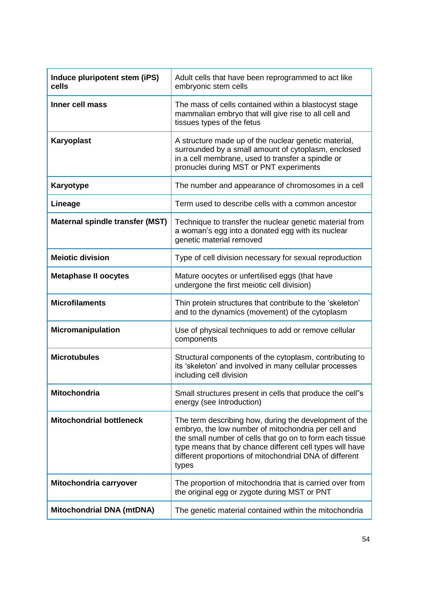| Induce pluripotent stem (iPS)<br>cells | Adult cells that have been reprogrammed to act like<br>embryonic stem cells                                                                                                                                                                                                                               |
|----------------------------------------|-----------------------------------------------------------------------------------------------------------------------------------------------------------------------------------------------------------------------------------------------------------------------------------------------------------|
| Inner cell mass                        | The mass of cells contained within a blastocyst stage<br>mammalian embryo that will give rise to all cell and<br>tissues types of the fetus                                                                                                                                                               |
| <b>Karyoplast</b>                      | A structure made up of the nuclear genetic material,<br>surrounded by a small amount of cytoplasm, enclosed<br>in a cell membrane, used to transfer a spindle or<br>pronuclei during MST or PNT experiments                                                                                               |
| Karyotype                              | The number and appearance of chromosomes in a cell                                                                                                                                                                                                                                                        |
| Lineage                                | Term used to describe cells with a common ancestor                                                                                                                                                                                                                                                        |
| Maternal spindle transfer (MST)        | Technique to transfer the nuclear genetic material from<br>a woman's egg into a donated egg with its nuclear<br>genetic material removed                                                                                                                                                                  |
| <b>Meiotic division</b>                | Type of cell division necessary for sexual reproduction                                                                                                                                                                                                                                                   |
| <b>Metaphase II oocytes</b>            | Mature oocytes or unfertilised eggs (that have<br>undergone the first meiotic cell division)                                                                                                                                                                                                              |
| <b>Microfilaments</b>                  | Thin protein structures that contribute to the 'skeleton'<br>and to the dynamics (movement) of the cytoplasm                                                                                                                                                                                              |
| <b>Micromanipulation</b>               | Use of physical techniques to add or remove cellular<br>components                                                                                                                                                                                                                                        |
| <b>Microtubules</b>                    | Structural components of the cytoplasm, contributing to<br>its 'skeleton' and involved in many cellular processes<br>including cell division                                                                                                                                                              |
| <b>Mitochondria</b>                    | Small structures present in cells that produce the cell"s<br>energy (see Introduction)                                                                                                                                                                                                                    |
| <b>Mitochondrial bottleneck</b>        | The term describing how, during the development of the<br>embryo, the low number of mitochondria per cell and<br>the small number of cells that go on to form each tissue<br>type means that by chance different cell types will have<br>different proportions of mitochondrial DNA of different<br>types |
| Mitochondria carryover                 | The proportion of mitochondria that is carried over from<br>the original egg or zygote during MST or PNT                                                                                                                                                                                                  |
| <b>Mitochondrial DNA (mtDNA)</b>       | The genetic material contained within the mitochondria                                                                                                                                                                                                                                                    |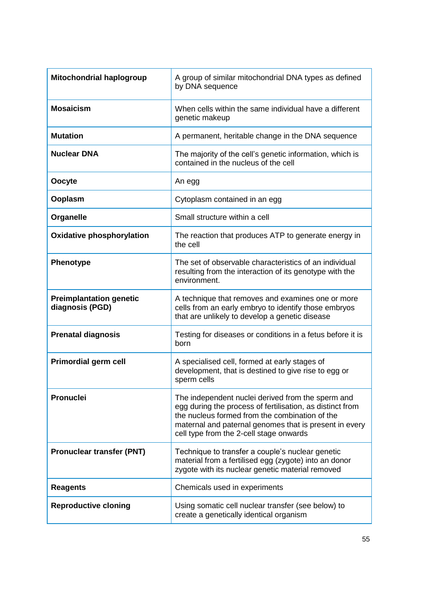| <b>Mitochondrial haplogroup</b>                   | A group of similar mitochondrial DNA types as defined<br>by DNA sequence                                                                                                                                                                                              |
|---------------------------------------------------|-----------------------------------------------------------------------------------------------------------------------------------------------------------------------------------------------------------------------------------------------------------------------|
| <b>Mosaicism</b>                                  | When cells within the same individual have a different<br>genetic makeup                                                                                                                                                                                              |
| <b>Mutation</b>                                   | A permanent, heritable change in the DNA sequence                                                                                                                                                                                                                     |
| <b>Nuclear DNA</b>                                | The majority of the cell's genetic information, which is<br>contained in the nucleus of the cell                                                                                                                                                                      |
| Oocyte                                            | An egg                                                                                                                                                                                                                                                                |
| Ooplasm                                           | Cytoplasm contained in an egg                                                                                                                                                                                                                                         |
| Organelle                                         | Small structure within a cell                                                                                                                                                                                                                                         |
| <b>Oxidative phosphorylation</b>                  | The reaction that produces ATP to generate energy in<br>the cell                                                                                                                                                                                                      |
| <b>Phenotype</b>                                  | The set of observable characteristics of an individual<br>resulting from the interaction of its genotype with the<br>environment.                                                                                                                                     |
| <b>Preimplantation genetic</b><br>diagnosis (PGD) | A technique that removes and examines one or more<br>cells from an early embryo to identify those embryos<br>that are unlikely to develop a genetic disease                                                                                                           |
| <b>Prenatal diagnosis</b>                         | Testing for diseases or conditions in a fetus before it is<br>born                                                                                                                                                                                                    |
| <b>Primordial germ cell</b>                       | A specialised cell, formed at early stages of<br>development, that is destined to give rise to egg or<br>sperm cells                                                                                                                                                  |
| <b>Pronuclei</b>                                  | The independent nuclei derived from the sperm and<br>egg during the process of fertilisation, as distinct from<br>the nucleus formed from the combination of the<br>maternal and paternal genomes that is present in every<br>cell type from the 2-cell stage onwards |
| <b>Pronuclear transfer (PNT)</b>                  | Technique to transfer a couple's nuclear genetic<br>material from a fertilised egg (zygote) into an donor<br>zygote with its nuclear genetic material removed                                                                                                         |
| <b>Reagents</b>                                   | Chemicals used in experiments                                                                                                                                                                                                                                         |
| <b>Reproductive cloning</b>                       | Using somatic cell nuclear transfer (see below) to<br>create a genetically identical organism                                                                                                                                                                         |